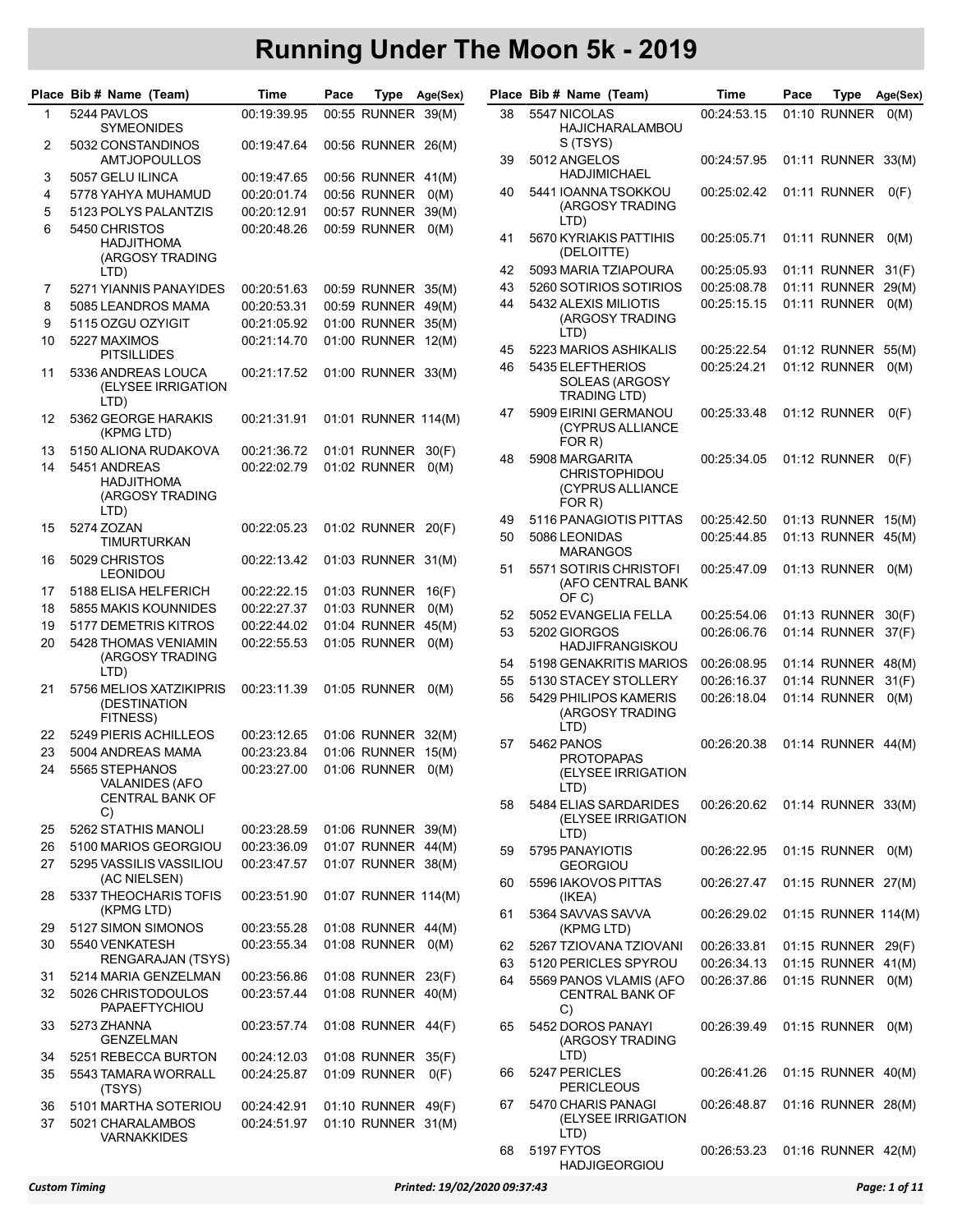|          | Place Bib # Name (Team)                                           | Time                       | Pace |                                          | Type Age(Sex) |    | Place Bib # Name (Team)                                              | Time                              | Pace | Type                | Age(Sex) |
|----------|-------------------------------------------------------------------|----------------------------|------|------------------------------------------|---------------|----|----------------------------------------------------------------------|-----------------------------------|------|---------------------|----------|
| 1        | 5244 PAVLOS<br><b>SYMEONIDES</b>                                  | 00:19:39.95                |      | 00:55 RUNNER 39(M)                       |               | 38 | 5547 NICOLAS<br>HAJICHARALAMBOU                                      | 00:24:53.15                       |      | 01:10 RUNNER        | O(M)     |
| 2        | 5032 CONSTANDINOS<br><b>AMTJOPOULLOS</b>                          | 00:19:47.64                |      | 00:56 RUNNER 26(M)                       |               | 39 | S (TSYS)<br>5012 ANGELOS                                             | 00:24:57.95                       |      | 01:11 RUNNER 33(M)  |          |
| 3        | 5057 GELU ILINCA                                                  | 00:19:47.65                |      | 00:56 RUNNER 41(M)                       |               |    | HADJIMICHAEL                                                         |                                   |      |                     |          |
| 4<br>5   | 5778 YAHYA MUHAMUD<br>5123 POLYS PALANTZIS                        | 00:20:01.74<br>00:20:12.91 |      | 00:56 RUNNER<br>00:57 RUNNER 39(M)       | O(M)          | 40 | 5441 IOANNA TSOKKOU<br>(ARGOSY TRADING                               | 00:25:02.42                       |      | 01:11 RUNNER        | O(F)     |
| 6        | 5450 CHRISTOS<br><b>HADJITHOMA</b><br>(ARGOSY TRADING             | 00:20:48.26                |      | 00:59 RUNNER                             | O(M)          | 41 | LTD)<br>5670 KYRIAKIS PATTIHIS<br>(DELOITTE)                         | 00:25:05.71                       |      | 01:11 RUNNER        | O(M)     |
|          | LTD)                                                              |                            |      |                                          |               | 42 | 5093 MARIA TZIAPOURA                                                 | 00:25:05.93                       |      | 01:11 RUNNER        | 31(F)    |
| 7        | 5271 YIANNIS PANAYIDES                                            | 00:20:51.63                |      | 00:59 RUNNER 35(M)                       |               | 43 | 5260 SOTIRIOS SOTIRIOS                                               | 00:25:08.78                       |      | 01:11 RUNNER        | 29(M)    |
| 8        | 5085 LEANDROS MAMA                                                | 00:20:53.31                |      | 00:59 RUNNER 49(M)                       |               | 44 | 5432 ALEXIS MILIOTIS                                                 | 00:25:15.15                       |      | 01:11 RUNNER        | O(M)     |
| 9        | 5115 OZGU OZYIGIT                                                 | 00:21:05.92                |      | 01:00 RUNNER 35(M)                       |               |    | (ARGOSY TRADING<br>LTD)                                              |                                   |      |                     |          |
| 10       | 5227 MAXIMOS                                                      | 00:21:14.70                |      | 01:00 RUNNER 12(M)                       |               | 45 | 5223 MARIOS ASHIKALIS                                                | 00:25:22.54                       |      | 01:12 RUNNER 55(M)  |          |
| 11       | <b>PITSILLIDES</b><br>5336 ANDREAS LOUCA<br>(ELYSEE IRRIGATION    | 00:21:17.52                |      | 01:00 RUNNER 33(M)                       |               | 46 | 5435 ELEFTHERIOS<br>SOLEAS (ARGOSY<br><b>TRADING LTD)</b>            | 00:25:24.21                       |      | 01:12 RUNNER        | O(M)     |
| 12       | LTD)<br>5362 GEORGE HARAKIS<br>(KPMG LTD)                         | 00:21:31.91                |      | 01:01 RUNNER 114(M)                      |               | 47 | 5909 EIRINI GERMANOU<br>(CYPRUS ALLIANCE                             | 00:25:33.48                       |      | 01:12 RUNNER        | O(F)     |
| 13       | 5150 ALIONA RUDAKOVA                                              | 00:21:36.72                |      | 01:01 RUNNER 30(F)                       |               |    | FOR R)                                                               |                                   |      |                     |          |
| 14       | 5451 ANDREAS<br>HADJITHOMA<br>(ARGOSY TRADING<br>LTD)             | 00:22:02.79                |      | 01:02 RUNNER                             | O(M)          | 48 | 5908 MARGARITA<br><b>CHRISTOPHIDOU</b><br>(CYPRUS ALLIANCE<br>FOR R) | 00:25:34.05                       |      | 01:12 RUNNER        | O(F)     |
| 15       | 5274 ZOZAN                                                        | 00:22:05.23                |      | 01:02 RUNNER 20(F)                       |               | 49 | 5116 PANAGIOTIS PITTAS                                               | 00:25:42.50                       |      | 01:13 RUNNER 15(M)  |          |
| 16       | TIMURTURKAN<br>5029 CHRISTOS                                      | 00:22:13.42                |      | 01:03 RUNNER 31(M)                       |               | 50 | 5086 LEONIDAS<br><b>MARANGOS</b>                                     | 00:25:44.85                       |      | 01:13 RUNNER 45(M)  |          |
|          | <b>LEONIDOU</b>                                                   |                            |      |                                          |               | 51 | 5571 SOTIRIS CHRISTOFI<br>(AFO CENTRAL BANK                          | 00:25:47.09                       |      | 01:13 RUNNER        | O(M)     |
| 17       | 5188 ELISA HELFERICH                                              | 00:22:22.15                |      | 01:03 RUNNER 16(F)                       |               |    | OF C)                                                                |                                   |      |                     |          |
| 18       | 5855 MAKIS KOUNNIDES                                              | 00:22:27.37                |      | 01:03 RUNNER<br>01:04 RUNNER 45(M)       | O(M)          | 52 | 5052 EVANGELIA FELLA                                                 | 00:25:54.06                       |      | 01:13 RUNNER        | 30(F)    |
| 19<br>20 | 5177 DEMETRIS KITROS<br>5428 THOMAS VENIAMIN                      | 00:22:44.02<br>00:22:55.53 |      | 01:05 RUNNER                             | O(M)          | 53 | 5202 GIORGOS<br>HADJIFRANGISKOU                                      | 00:26:06.76                       |      | 01:14 RUNNER        | 37(F)    |
|          | (ARGOSY TRADING<br>LTD)                                           |                            |      |                                          |               | 54 | 5198 GENAKRITIS MARIOS                                               | 00:26:08.95                       |      | 01:14 RUNNER 48(M)  |          |
| 21       | 5756 MELIOS XATZIKIPRIS                                           | 00:23:11.39                |      | 01:05 RUNNER                             | O(M)          | 55 | 5130 STACEY STOLLERY                                                 | 00:26:16.37                       |      | 01:14 RUNNER        | 31(F)    |
|          | (DESTINATION<br>FITNESS)                                          |                            |      |                                          |               | 56 | 5429 PHILIPOS KAMERIS<br>(ARGOSY TRADING                             | 00:26:18.04                       |      | 01:14 RUNNER        | O(M)     |
| 22       | 5249 PIERIS ACHILLEOS                                             | 00:23:12.65                |      | 01:06 RUNNER 32(M)                       |               |    | LTD)                                                                 |                                   |      |                     |          |
| 23       | 5004 ANDREAS MAMA                                                 | 00:23:23.84                |      | 01:06 RUNNER 15(M)                       |               | 57 | 5462 PANOS<br>PROTOPAPAS                                             | 00:26:20.38                       |      | 01:14 RUNNER 44(M)  |          |
| 24       | 5565 STEPHANOS<br><b>VALANIDES (AFO</b><br><b>CENTRAL BANK OF</b> | 00:23:27.00                |      | 01:06 RUNNER                             | O(M)          |    | (ELYSEE IRRIGATION<br>LTD)                                           |                                   |      |                     |          |
| 25       | C)<br>5262 STATHIS MANOLI                                         | 00:23:28.59                |      | 01:06 RUNNER 39(M)                       |               | 58 | 5484 ELIAS SARDARIDES<br>(ELYSEE IRRIGATION                          | 00:26:20.62                       |      | 01:14 RUNNER 33(M)  |          |
| 26       | 5100 MARIOS GEORGIOU                                              | 00:23:36.09                |      | 01:07 RUNNER 44(M)                       |               |    | LTD)                                                                 |                                   |      |                     |          |
| 27       | 5295 VASSILIS VASSILIOU<br>(AC NIELSEN)                           | 00:23:47.57                |      | 01:07 RUNNER 38(M)                       |               | 59 | 5795 PANAYIOTIS<br><b>GEORGIOU</b>                                   | 00:26:22.95                       |      | 01:15 RUNNER 0(M)   |          |
| 28       | 5337 THEOCHARIS TOFIS<br>(KPMG LTD)                               | 00:23:51.90                |      | 01:07 RUNNER 114(M)                      |               | 60 | 5596 IAKOVOS PITTAS<br>(IKEA)                                        | 00:26:27.47                       |      | 01:15 RUNNER 27(M)  |          |
| 29       | 5127 SIMON SIMONOS                                                | 00:23:55.28                |      | 01:08 RUNNER 44(M)                       |               | 61 | 5364 SAVVAS SAVVA<br>(KPMG LTD)                                      | 00:26:29.02                       |      | 01:15 RUNNER 114(M) |          |
| 30       | 5540 VENKATESH                                                    | 00:23:55.34                |      | 01:08 RUNNER                             | O(M)          | 62 | 5267 TZIOVANA TZIOVANI                                               | 00:26:33.81                       |      | 01:15 RUNNER 29(F)  |          |
|          | RENGARAJAN (TSYS)                                                 |                            |      |                                          |               | 63 | 5120 PERICLES SPYROU                                                 | 00:26:34.13                       |      | 01:15 RUNNER 41(M)  |          |
| 31<br>32 | 5214 MARIA GENZELMAN<br>5026 CHRISTODOULOS                        | 00:23:56.86<br>00:23:57.44 |      | 01:08 RUNNER 23(F)<br>01:08 RUNNER 40(M) |               | 64 | 5569 PANOS VLAMIS (AFO<br><b>CENTRAL BANK OF</b>                     | 00:26:37.86                       |      | 01:15 RUNNER 0(M)   |          |
| 33       | PAPAEFTYCHIOU<br>5273 ZHANNA<br><b>GENZELMAN</b>                  | 00:23:57.74                |      | 01:08 RUNNER 44(F)                       |               | 65 | C)<br>5452 DOROS PANAYI<br>(ARGOSY TRADING                           | 00:26:39.49                       |      | 01:15 RUNNER 0(M)   |          |
| 34       | 5251 REBECCA BURTON                                               | 00:24:12.03                |      | 01:08 RUNNER 35(F)                       |               |    | LTD)                                                                 |                                   |      |                     |          |
| 35       | 5543 TAMARA WORRALL<br>(TSYS)                                     | 00:24:25.87                |      | 01:09 RUNNER                             | O(F)          | 66 | 5247 PERICLES<br><b>PERICLEOUS</b>                                   | 00:26:41.26                       |      | 01:15 RUNNER 40(M)  |          |
| 36<br>37 | 5101 MARTHA SOTERIOU<br>5021 CHARALAMBOS                          | 00:24:42.91<br>00:24:51.97 |      | 01:10 RUNNER 49(F)<br>01:10 RUNNER 31(M) |               | 67 | 5470 CHARIS PANAGI<br>(ELYSEE IRRIGATION<br>LTD)                     | 00:26:48.87                       |      | 01:16 RUNNER 28(M)  |          |
|          | VARNAKKIDES                                                       |                            |      |                                          |               |    | 68 5197 FYTOS                                                        | 00:26:53.23  01:16  RUNNER  42(M) |      |                     |          |

| lace |            | Bib # Name (Team)                                                    | Time        | Pace | Type                | Age(Sex) |
|------|------------|----------------------------------------------------------------------|-------------|------|---------------------|----------|
| 38   |            | 5547 NICOLAS                                                         | 00:24:53.15 |      | 01:10 RUNNER        | O(M)     |
|      |            | HAJICHARALAMBOU<br>S (TSYS)                                          |             |      |                     |          |
| 39   |            | 5012 ANGELOS<br><b>HADJIMICHAEL</b>                                  | 00:24:57.95 |      | 01:11 RUNNER        | 33(M)    |
| 40   |            | 5441 IOANNA TSOKKOU<br>(ARGOSY TRADING<br>LTD)                       | 00:25:02.42 |      | 01:11 RUNNER        | O(F)     |
| 41   |            | 5670 KYRIAKIS PATTIHIS<br>(DELOITTE)                                 | 00:25:05.71 |      | 01:11 RUNNER        | O(M)     |
| 42   |            | 5093 MARIA TZIAPOURA                                                 | 00:25:05.93 |      | 01:11 RUNNER        | 31(F)    |
| 43   |            | 5260 SOTIRIOS SOTIRIOS                                               | 00:25:08.78 |      | 01:11 RUNNER        | 29(M)    |
| 44   |            | 5432 ALEXIS MILIOTIS<br>(ARGOSY TRADING<br>LTD)                      | 00:25:15.15 |      | 01:11 RUNNER        | O(M)     |
| 45   |            | 5223 MARIOS ASHIKALIS                                                | 00:25:22.54 |      | 01:12 RUNNER        | 55(M)    |
| 46   |            | 5435 ELEFTHERIOS<br>SOLEAS (ARGOSY<br><b>TRADING LTD)</b>            | 00:25:24.21 |      | 01:12 RUNNER        | O(M)     |
| 47   |            | 5909 EIRINI GERMANOU<br>(CYPRUS ALLIANCE<br>FOR R)                   | 00:25:33.48 |      | 01:12 RUNNER        | O(F)     |
| 48   |            | 5908 MARGARITA<br><b>CHRISTOPHIDOU</b><br>(CYPRUS ALLIANCE<br>FOR R) | 00:25:34.05 |      | 01:12 RUNNER        | O(F)     |
| 49   |            | 5116 PANAGIOTIS PITTAS                                               | 00:25:42.50 |      | 01:13 RUNNER        | 15(M)    |
| 50   |            | 5086 LEONIDAS<br><b>MARANGOS</b>                                     | 00:25:44.85 |      | 01:13 RUNNER        | 45(M)    |
| 51   |            | 5571 SOTIRIS CHRISTOFI<br>(AFO CENTRAL BANK<br>OF C)                 | 00:25:47.09 |      | 01:13 RUNNER        | O(M)     |
| 52   |            | 5052 EVANGELIA FELLA                                                 | 00:25:54.06 |      | 01:13 RUNNER        | 30(F)    |
| 53   |            | 5202 GIORGOS<br><b>HADJIFRANGISKOU</b>                               | 00:26:06.76 |      | 01:14 RUNNER        | 37(F)    |
| 54   |            | 5198 GENAKRITIS MARIOS                                               | 00:26:08.95 |      | 01:14 RUNNER        | 48(M)    |
| 55   |            | 5130 STACEY STOLLERY                                                 | 00:26:16.37 |      | 01:14 RUNNER        | 31(F)    |
| 56   |            | 5429 PHILIPOS KAMERIS<br>(ARGOSY TRADING<br>LTD)                     | 00:26:18.04 |      | 01:14 RUNNER        | O(M)     |
| 57   | 5462 PANOS | <b>PROTOPAPAS</b><br>(ELYSEE IRRIGATION<br>LTD)                      | 00:26:20.38 |      | 01:14 RUNNER 44(M)  |          |
| 58   |            | 5484 ELIAS SARDARIDES<br>(ELYSEE IRRIGATION<br>LTD)                  | 00:26:20.62 |      | 01:14 RUNNER 33(M)  |          |
| 59   |            | 5795 PANAYIOTIS<br><b>GEORGIOU</b>                                   | 00:26:22.95 |      | 01:15 RUNNER        | O(M)     |
| 60   |            | 5596 IAKOVOS PITTAS<br>(IKEA)                                        | 00:26:27.47 |      | 01:15 RUNNER 27(M)  |          |
| 61   |            | 5364 SAVVAS SAVVA<br>(KPMG LTD)                                      | 00:26:29.02 |      | 01:15 RUNNER 114(M) |          |
| 62   |            | 5267 TZIOVANA TZIOVANI                                               | 00:26:33.81 |      | 01:15 RUNNER        | 29(F)    |
| 63   |            | 5120 PERICLES SPYROU                                                 | 00:26:34.13 |      | 01:15 RUNNER        | 41(M)    |
| 64   | C)         | 5569 PANOS VLAMIS (AFO<br><b>CENTRAL BANK OF</b>                     | 00:26:37.86 |      | 01:15 RUNNER        | O(M)     |
| 65   |            | 5452 DOROS PANAYI<br>(ARGOSY TRADING<br>LTD)                         | 00:26:39.49 |      | 01:15 RUNNER        | O(M)     |
| 66   |            | 5247 PERICLES<br>PERICLEOUS                                          | 00:26:41.26 |      | 01:15 RUNNER 40(M)  |          |
| 67   |            | 5470 CHARIS PANAGI<br>(ELYSEE IRRIGATION<br>LTD)                     | 00:26:48.87 |      | 01:16 RUNNER 28(M)  |          |
| 68   | 5197 FYTOS | <b>HADJIGEORGIOU</b>                                                 | 00:26:53.23 |      | 01:16 RUNNER 42(M)  |          |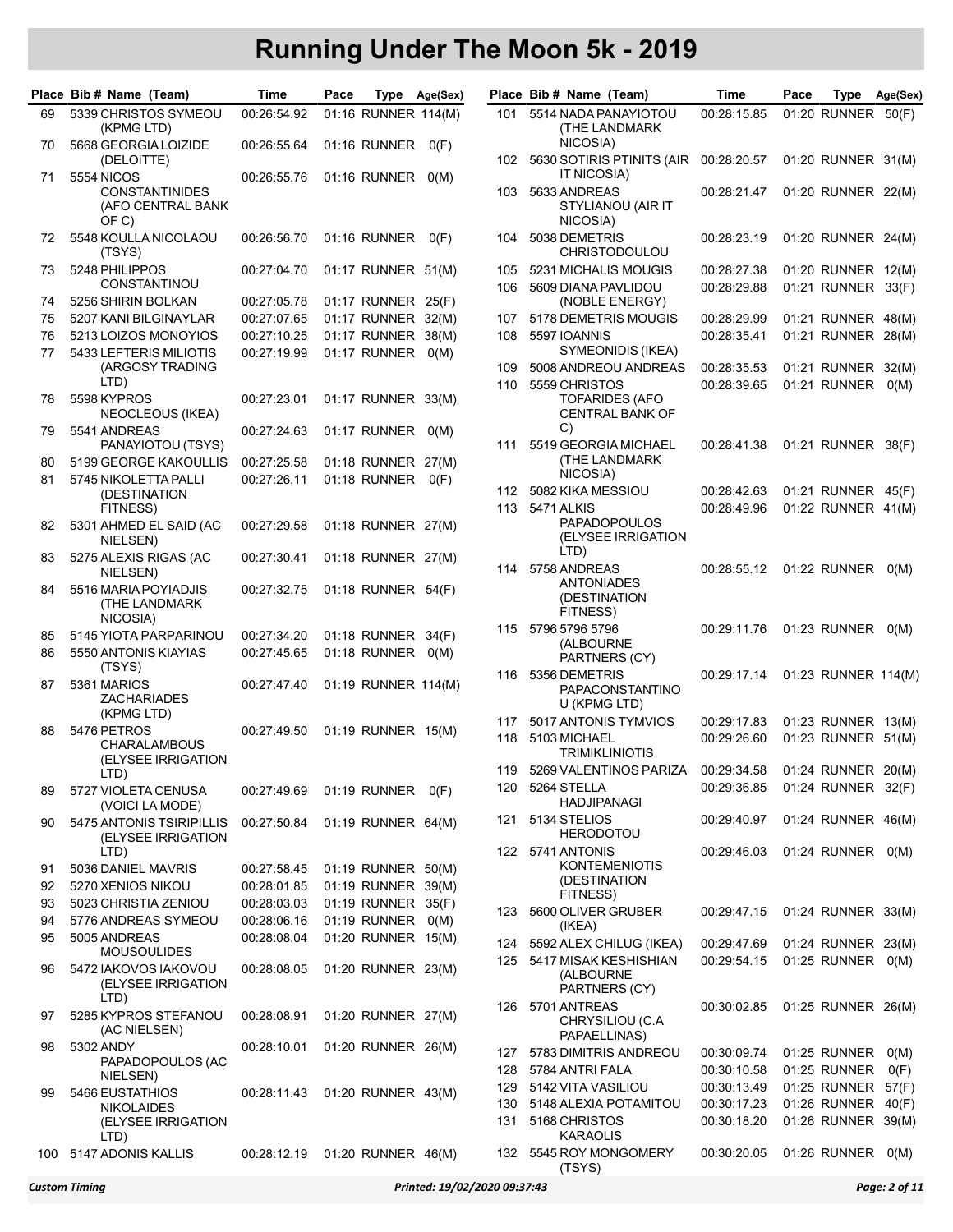|          | Place Bib # Name (Team)                                  | Time                              | Pace                               | Type | Age(Sex) |            | Place Bib # Name (Team)                                       | Time                       | Pace | Type                                     | Age(Sex)     |
|----------|----------------------------------------------------------|-----------------------------------|------------------------------------|------|----------|------------|---------------------------------------------------------------|----------------------------|------|------------------------------------------|--------------|
| 69       | 5339 CHRISTOS SYMEOU<br>(KPMG LTD)                       | 00:26:54.92                       | 01:16 RUNNER 114(M)                |      |          | 101        | 5514 NADA PANAYIOTOU<br><b>(THE LANDMARK</b>                  | 00:28:15.85                |      | 01:20 RUNNER 50(F)                       |              |
| 70       | 5668 GEORGIA LOIZIDE<br>(DELOITTE)                       | 00:26:55.64                       | 01:16 RUNNER                       |      | O(F)     |            | NICOSIA)<br>102 5630 SOTIRIS PTINITS (AIR                     | 00:28:20.57                |      | 01:20 RUNNER 31(M)                       |              |
| 71       | <b>5554 NICOS</b>                                        | 00:26:55.76                       | 01:16 RUNNER 0(M)                  |      |          |            | IT NICOSIA)                                                   |                            |      |                                          |              |
|          | <b>CONSTANTINIDES</b><br>(AFO CENTRAL BANK<br>OF C)      |                                   |                                    |      |          | 103        | 5633 ANDREAS<br>STYLIANOU (AIR IT<br>NICOSIA)                 | 00:28:21.47                |      | 01:20 RUNNER 22(M)                       |              |
| 72       | 5548 KOULLA NICOLAOU<br>(TSYS)                           | 00:26:56.70                       | 01:16 RUNNER                       |      | O(F)     | 104        | 5038 DEMETRIS<br><b>CHRISTODOULOU</b>                         | 00:28:23.19                |      | 01:20 RUNNER 24(M)                       |              |
| 73       | 5248 PHILIPPOS<br><b>CONSTANTINOU</b>                    | 00:27:04.70                       | 01:17 RUNNER 51(M)                 |      |          | 105<br>106 | 5231 MICHALIS MOUGIS<br>5609 DIANA PAVLIDOU                   | 00:28:27.38<br>00:28:29.88 |      | 01:20 RUNNER 12(M)<br>01:21 RUNNER 33(F) |              |
| 74       | 5256 SHIRIN BOLKAN                                       | 00:27:05.78                       | 01:17 RUNNER 25(F)                 |      |          |            | (NOBLE ENERGY)                                                |                            |      |                                          |              |
| 75       | 5207 KANI BILGINAYLAR                                    | 00:27:07.65                       | 01:17 RUNNER 32(M)                 |      |          | 107        | 5178 DEMETRIS MOUGIS                                          | 00:28:29.99                |      | 01:21 RUNNER 48(M)                       |              |
| 76       | 5213 LOIZOS MONOYIOS                                     | 00:27:10.25                       | 01:17 RUNNER 38(M)                 |      |          | 108        | 5597 IOANNIS                                                  | 00:28:35.41                |      | 01:21 RUNNER 28(M)                       |              |
| 77       | 5433 LEFTERIS MILIOTIS                                   | 00:27:19.99                       | 01:17 RUNNER                       |      | O(M)     |            | SYMEONIDIS (IKEA)                                             |                            |      |                                          |              |
|          | (ARGOSY TRADING                                          |                                   |                                    |      |          | 109        | 5008 ANDREOU ANDREAS                                          | 00:28:35.53                |      | 01:21 RUNNER 32(M)                       |              |
|          | LTD)                                                     |                                   |                                    |      |          | 110        | 5559 CHRISTOS                                                 | 00:28:39.65                |      | 01:21 RUNNER                             | O(M)         |
| 78       | 5598 KYPROS<br>NEOCLEOUS (IKEA)                          | 00:27:23.01                       | 01:17 RUNNER 33(M)                 |      |          |            | TOFARIDES (AFO<br><b>CENTRAL BANK OF</b><br>C)                |                            |      |                                          |              |
| 79       | 5541 ANDREAS                                             | 00:27:24.63                       | 01:17 RUNNER                       |      | O(M)     | 111        | 5519 GEORGIA MICHAEL                                          |                            |      | 01:21 RUNNER 38(F)                       |              |
|          | PANAYIOTOU (TSYS)<br>5199 GEORGE KAKOULLIS               |                                   |                                    |      |          |            | (THE LANDMARK                                                 | 00:28:41.38                |      |                                          |              |
| 80<br>81 | 5745 NIKOLETTA PALLI                                     | 00:27:25.58<br>00:27:26.11        | 01:18 RUNNER 27(M)<br>01:18 RUNNER |      |          |            | NICOSIA)                                                      |                            |      |                                          |              |
|          | (DESTINATION                                             |                                   |                                    |      | O(F)     | 112        | 5082 KIKA MESSIOU                                             | 00:28:42.63                |      | 01:21 RUNNER 45(F)                       |              |
|          | FITNESS)                                                 |                                   |                                    |      |          |            | 113 5471 ALKIS                                                | 00:28:49.96                |      | 01:22 RUNNER 41(M)                       |              |
| 82       | 5301 AHMED EL SAID (AC                                   | 00:27:29.58                       | 01:18 RUNNER 27(M)                 |      |          |            | <b>PAPADOPOULOS</b>                                           |                            |      |                                          |              |
|          | NIELSEN)                                                 |                                   |                                    |      |          |            | (ELYSEE IRRIGATION                                            |                            |      |                                          |              |
| 83       | 5275 ALEXIS RIGAS (AC                                    | 00:27:30.41                       | 01:18 RUNNER 27(M)                 |      |          | 114        | LTD)<br>5758 ANDREAS                                          | 00:28:55.12                |      | 01:22 RUNNER                             | O(M)         |
|          | NIELSEN)                                                 |                                   |                                    |      |          |            | ANTONIADES                                                    |                            |      |                                          |              |
| 84       | 5516 MARIA POYIADJIS<br>(THE LANDMARK<br>NICOSIA)        | 00:27:32.75                       | 01:18 RUNNER 54(F)                 |      |          |            | (DESTINATION<br>FITNESS)                                      |                            |      |                                          |              |
| 85       | 5145 YIOTA PARPARINOU                                    | 00:27:34.20                       | 01:18 RUNNER 34(F)                 |      |          | 115        | 5796 5796 5796                                                | 00:29:11.76                |      | 01:23 RUNNER                             | O(M)         |
| 86       | 5550 ANTONIS KIAYIAS                                     | 00:27:45.65                       | 01:18 RUNNER                       |      | O(M)     |            | (ALBOURNE<br>PARTNERS (CY)                                    |                            |      |                                          |              |
| 87       | (TSYS)<br>5361 MARIOS<br><b>ZACHARIADES</b>              | 00:27:47.40                       | 01:19 RUNNER 114(M)                |      |          | 116        | 5356 DEMETRIS<br>PAPACONSTANTINO<br>U (KPMG LTD)              | 00:29:17.14                |      | 01:23 RUNNER 114(M)                      |              |
|          | (KPMG LTD)                                               |                                   |                                    |      |          | 117        | 5017 ANTONIS TYMVIOS                                          | 00:29:17.83                |      | 01:23 RUNNER 13(M)                       |              |
| 88       | 5476 PETROS<br><b>CHARALAMBOUS</b><br>(ELYSEE IRRIGATION | 00:27:49.50                       | 01:19 RUNNER 15(M)                 |      |          | 118        | 5103 MICHAEL<br><b>TRIMIKLINIOTIS</b>                         | 00:29:26.60                |      | 01:23 RUNNER 51(M)                       |              |
|          | LID)                                                     |                                   |                                    |      |          |            | 119 5269 VALENTINOS PARIZA  00:29:34.58  01:24  RUNNER  20(M) |                            |      |                                          |              |
| 89       | 5727 VIOLETA CENUSA<br>(VOICI LA MODE)                   | 00:27:49.69                       | 01:19 RUNNER 0(F)                  |      |          | 120        | 5264 STELLA<br>HADJIPANAGI                                    | 00:29:36.85                |      | 01:24 RUNNER 32(F)                       |              |
| 90       | 5475 ANTONIS TSIRIPILLIS<br>(ELYSEE IRRIGATION           | 00:27:50.84                       | 01:19 RUNNER 64(M)                 |      |          |            | 121 5134 STELIOS<br><b>HERODOTOU</b>                          | 00:29:40.97                |      | 01:24 RUNNER 46(M)                       |              |
|          | LTD)                                                     |                                   |                                    |      |          |            | 122 5741 ANTONIS                                              | 00:29:46.03                |      | 01:24 RUNNER 0(M)                        |              |
| 91       | 5036 DANIEL MAVRIS                                       | 00:27:58.45                       | 01:19 RUNNER 50(M)                 |      |          |            | <b>KONTEMENIOTIS</b>                                          |                            |      |                                          |              |
| 92       | 5270 XENIOS NIKOU                                        | 00:28:01.85                       | 01:19 RUNNER 39(M)                 |      |          |            | (DESTINATION<br>FITNESS)                                      |                            |      |                                          |              |
| 93       | 5023 CHRISTIA ZENIOU                                     | 00:28:03.03                       | 01:19 RUNNER 35(F)                 |      |          | 123        | 5600 OLIVER GRUBER                                            | 00:29:47.15                |      | 01:24 RUNNER 33(M)                       |              |
| 94       | 5776 ANDREAS SYMEOU                                      | 00:28:06.16                       | 01:19 RUNNER 0(M)                  |      |          |            | (IKEA)                                                        |                            |      |                                          |              |
| 95       | 5005 ANDREAS                                             | 00:28:08.04                       | 01:20 RUNNER 15(M)                 |      |          | 124        | 5592 ALEX CHILUG (IKEA)                                       | 00:29:47.69                |      | 01:24 RUNNER 23(M)                       |              |
|          | <b>MOUSOULIDES</b>                                       |                                   |                                    |      |          | 125        | 5417 MISAK KESHISHIAN                                         | 00:29:54.15                |      | 01:25 RUNNER 0(M)                        |              |
| 96       | 5472 IAKOVOS IAKOVOU<br>(ELYSEE IRRIGATION<br>LTD)       | 00:28:08.05                       | 01:20 RUNNER 23(M)                 |      |          |            | (ALBOURNE<br>PARTNERS (CY)                                    |                            |      |                                          |              |
| 97       | 5285 KYPROS STEFANOU<br>(AC NIELSEN)                     | 00:28:08.91                       | 01:20 RUNNER 27(M)                 |      |          | 126        | 5701 ANTREAS<br>CHRYSILIOU (C.A                               | 00:30:02.85                |      | 01:25 RUNNER 26(M)                       |              |
| 98       | 5302 ANDY                                                | 00:28:10.01                       | 01:20 RUNNER 26(M)                 |      |          | 127        | PAPAELLINAS)<br>5783 DIMITRIS ANDREOU                         | 00:30:09.74                |      | 01:25 RUNNER                             |              |
|          | PAPADOPOULOS (AC                                         |                                   |                                    |      |          | 128        | 5784 ANTRI FALA                                               | 00:30:10.58                |      | 01:25 RUNNER                             | O(M)<br>O(F) |
|          | NIELSEN)                                                 |                                   |                                    |      |          | 129        | 5142 VITA VASILIOU                                            | 00:30:13.49                |      | 01:25 RUNNER                             | 57(F)        |
| 99       | 5466 EUSTATHIOS                                          | 00:28:11.43                       | 01:20 RUNNER 43(M)                 |      |          | 130        | 5148 ALEXIA POTAMITOU                                         | 00:30:17.23                |      | 01:26 RUNNER                             | 40(F)        |
|          | <b>NIKOLAIDES</b><br>(ELYSEE IRRIGATION<br>LTD)          |                                   |                                    |      |          | 131        | 5168 CHRISTOS<br><b>KARAOLIS</b>                              | 00:30:18.20                |      | 01:26 RUNNER 39(M)                       |              |
|          | 100 5147 ADONIS KALLIS                                   | 00:28:12.19  01:20  RUNNER  46(M) |                                    |      |          |            | 132 5545 ROY MONGOMERY<br>$T_{\rm O}$                         | 00:30:20.05                |      | 01:26 RUNNER 0(M)                        |              |

| <b>lace</b> | Bib # Name (Team)                                                      | Time        | Pace | Type                | Age(Sex) |
|-------------|------------------------------------------------------------------------|-------------|------|---------------------|----------|
| 101         | 5514 NADA PANAYIOTOU<br><b>(THE LANDMARK</b><br>NICOSIA)               | 00:28:15.85 |      | 01:20 RUNNER        | 50(F)    |
| 102         | 5630 SOTIRIS PTINITS (AIR<br>IT NICOSIA)                               | 00:28:20.57 |      | 01:20 RUNNER        | 31(M)    |
| 103         | 5633 ANDREAS<br>STYLIANOU (AIR IT<br>NICOSIA)                          | 00:28:21.47 |      | 01:20 RUNNER        | 22(M)    |
| 104         | 5038 DEMETRIS<br><b>CHRISTODOULOU</b>                                  | 00:28:23.19 |      | 01:20 RUNNER        | 24(M)    |
| 105         | 5231 MICHALIS MOUGIS                                                   | 00:28:27.38 |      | 01:20 RUNNER        | 12(M)    |
| 106         | 5609 DIANA PAVLIDOU<br>(NOBLE ENERGY)                                  | 00:28:29.88 |      | 01:21 RUNNER        | 33(F)    |
| 107         | 5178 DEMETRIS MOUGIS                                                   | 00:28:29.99 |      | 01:21 RUNNER        | 48(M)    |
| 108         | 5597 IOANNIS<br>SYMEONIDIS (IKEA)                                      | 00:28:35.41 |      | 01:21 RUNNER        | 28(M)    |
| 109         | 5008 ANDREOU ANDREAS                                                   | 00:28:35.53 |      | 01:21 RUNNER        | 32(M)    |
| 110         | 5559 CHRISTOS<br><b>TOFARIDES (AFO</b><br><b>CENTRAL BANK OF</b><br>C) | 00:28:39.65 |      | 01:21 RUNNER        | O(M)     |
| 111         | 5519 GEORGIA MICHAEL<br><b>(THE LANDMARK</b><br>NICOSIA)               | 00:28:41.38 |      | 01:21 RUNNER        | 38(F)    |
| 112         | 5082 KIKA MESSIOU                                                      | 00:28:42.63 |      | 01:21 RUNNER        | 45(F)    |
| 113         | 5471 ALKIS<br><b>PAPADOPOULOS</b><br>(ELYSEE IRRIGATION<br>LTD)        | 00:28:49.96 |      | 01:22 RUNNER        | 41(M)    |
| 114         | 5758 ANDREAS<br><b>ANTONIADES</b><br>(DESTINATION<br>FITNESS)          | 00:28:55.12 |      | 01:22 RUNNER        | O(M)     |
| 115         | 5796 5796 5796<br>(ALBOURNE<br>PARTNERS (CY)                           | 00:29:11.76 |      | 01:23 RUNNER        | O(M)     |
| 116         | 5356 DEMETRIS<br>PAPACONSTANTINO<br>U (KPMG LTD)                       | 00:29:17.14 |      | 01:23 RUNNER 114(M) |          |
| 117         | 5017 ANTONIS TYMVIOS                                                   | 00:29:17.83 |      | 01:23 RUNNER        | 13(M)    |
| 118         | 5103 MICHAEL<br>TRIMIKLINIOTIS                                         | 00:29:26.60 |      | 01:23 RUNNER        | 51(M)    |
| 119         | 5269 VALENTINOS PARIZA                                                 | 00:29:34.58 |      | 01:24 RUNNER        | 20(M)    |
| 120         | 5264 STELLA<br>HADJIPANAGI                                             | 00:29:36.85 |      | 01:24 RUNNER        | 32(F)    |
| 121         | 5134 STELIOS<br><b>HERODOTOU</b>                                       | 00:29:40.97 |      | 01:24 RUNNER        | 46(M)    |
| 122         | 5741 ANTONIS<br><b>KONTEMENIOTIS</b><br>(DESTINATION<br>FITNESS)       | 00:29:46.03 |      | 01:24 RUNNER        | O(M)     |
| 123         | 5600 OLIVER GRUBER<br>(IKEA)                                           | 00:29:47.15 |      | 01:24 RUNNER        | 33(M)    |
| 124         | 5592 ALEX CHILUG (IKEA)                                                | 00:29:47.69 |      | 01:24 RUNNER        | 23(M)    |
| 125         | 5417 MISAK KESHISHIAN<br>(ALBOURNE<br>PARTNERS (CY)                    | 00:29:54.15 |      | 01:25 RUNNER        | O(M)     |
| 126         | 5701 ANTREAS<br>CHRYSILIOU (C.A<br>PAPAELLINAS)                        | 00:30:02.85 |      | 01:25 RUNNER        | 26(M)    |
| 127         | 5783 DIMITRIS ANDREOU                                                  | 00:30:09.74 |      | 01:25 RUNNER        | O(M)     |
| 128         | 5784 ANTRI FALA                                                        | 00:30:10.58 |      | 01:25 RUNNER        | O(F)     |
| 129         | 5142 VITA VASILIOU                                                     | 00:30:13.49 |      | 01:25 RUNNER        | 57(F)    |
| 130         | 5148 ALEXIA POTAMITOU                                                  | 00:30:17.23 |      | 01:26 RUNNER        | 40(F)    |
| 131         | 5168 CHRISTOS<br>KARAOLIS                                              | 00:30:18.20 |      | 01:26 RUNNER        | 39(M)    |
| 132         | 5545 ROY MONGOMERY<br>(TSYS)                                           | 00:30:20.05 |      | 01:26 RUNNER        | O(M)     |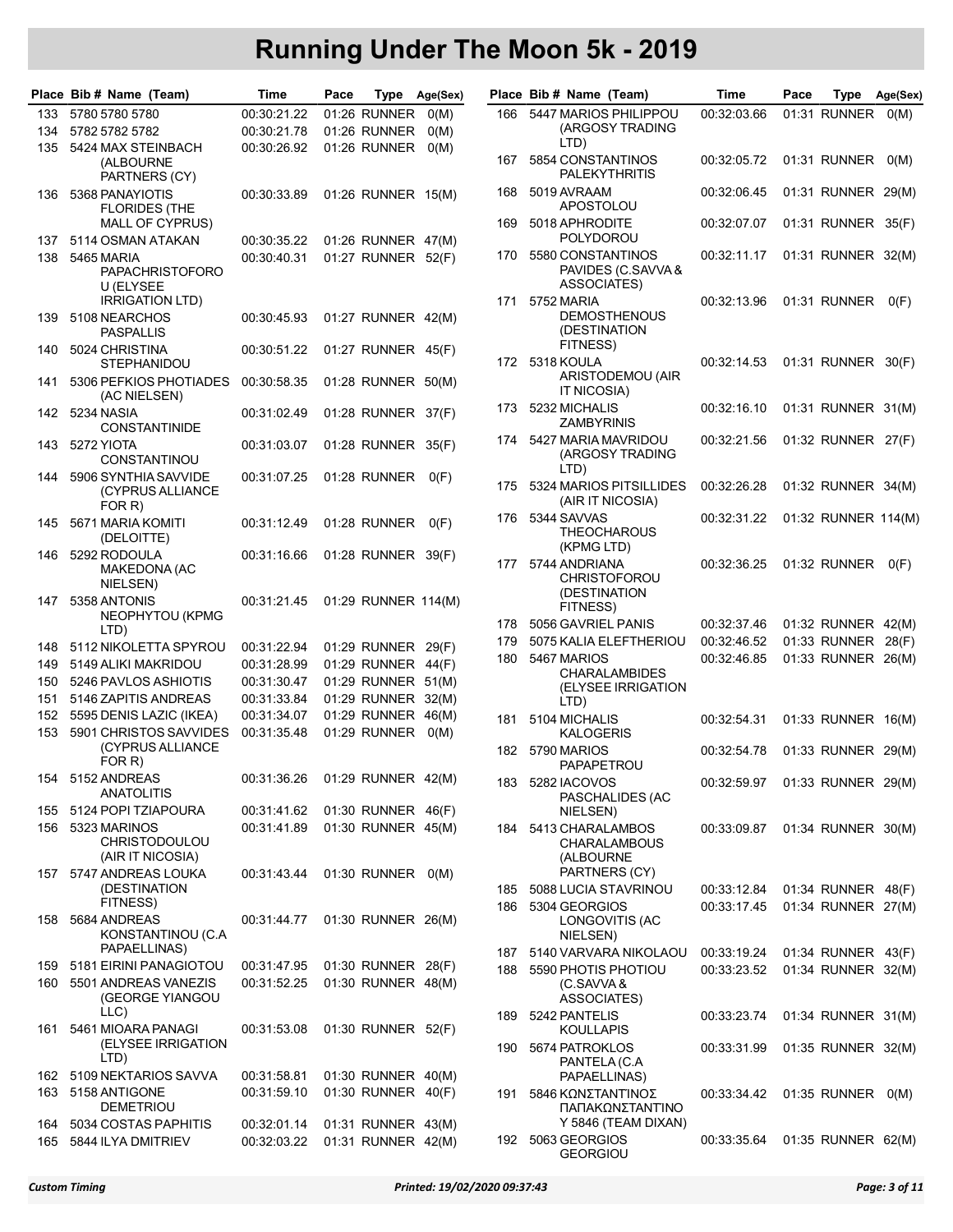|            | Place Bib # Name (Team)                                   | Time                              | Pace | Type                                     | Age(Sex) |            | Place Bib # Name (Team)                                     | Time                              | Pace | Type                               | Age(Sex) |
|------------|-----------------------------------------------------------|-----------------------------------|------|------------------------------------------|----------|------------|-------------------------------------------------------------|-----------------------------------|------|------------------------------------|----------|
| 133        | 5780 5780 5780                                            | 00:30:21.22                       |      | 01:26 RUNNER                             | O(M)     | 166        | 5447 MARIOS PHILIPPOU                                       | 00:32:03.66                       |      | 01:31 RUNNER                       | O(M)     |
| 134        | 5782 5782 5782                                            | 00:30:21.78                       |      | 01:26 RUNNER                             | O(M)     |            | (ARGOSY TRADING                                             |                                   |      |                                    |          |
| 135        | 5424 MAX STEINBACH<br>(ALBOURNE                           | 00:30:26.92                       |      | 01:26 RUNNER                             | O(M)     | 167        | LTD)<br>5854 CONSTANTINOS                                   | 00:32:05.72                       |      | 01:31 RUNNER                       | O(M)     |
| 136        | PARTNERS (CY)<br>5368 PANAYIOTIS                          | 00:30:33.89                       |      | 01:26 RUNNER 15(M)                       |          | 168        | <b>PALEKYTHRITIS</b><br>5019 AVRAAM<br><b>APOSTOLOU</b>     | 00:32:06.45                       |      | 01:31 RUNNER 29(M)                 |          |
|            | <b>FLORIDES (THE</b><br><b>MALL OF CYPRUS)</b>            |                                   |      |                                          |          | 169        | 5018 APHRODITE                                              | 00:32:07.07                       |      | 01:31 RUNNER 35(F)                 |          |
| 137        | 5114 OSMAN ATAKAN                                         | 00:30:35.22                       |      | 01:26 RUNNER 47(M)                       |          |            | POLYDOROU                                                   |                                   |      |                                    |          |
| 138        | 5465 MARIA<br><b>PAPACHRISTOFORO</b><br>U (ELYSEE         | 00:30:40.31                       |      | 01:27 RUNNER 52(F)                       |          | 170        | 5580 CONSTANTINOS<br>PAVIDES (C.SAVVA &<br>ASSOCIATES)      | 00:32:11.17                       |      | 01:31 RUNNER 32(M)                 |          |
| 139        | <b>IRRIGATION LTD)</b><br>5108 NEARCHOS                   | 00:30:45.93                       |      | 01:27 RUNNER 42(M)                       |          | 171        | 5752 MARIA<br><b>DEMOSTHENOUS</b>                           | 00:32:13.96                       |      | 01:31 RUNNER                       | O(F)     |
| 140        | <b>PASPALLIS</b><br>5024 CHRISTINA                        | 00:30:51.22                       |      | 01:27 RUNNER 45(F)                       |          |            | (DESTINATION<br>FITNESS)                                    |                                   |      |                                    |          |
|            | <b>STEPHANIDOU</b>                                        |                                   |      |                                          |          |            | 172 5318 KOULA<br>ARISTODEMOU (AIR                          | 00:32:14.53                       |      | 01:31 RUNNER 30(F)                 |          |
| 141        | 5306 PEFKIOS PHOTIADES<br>(AC NIELSEN)                    | 00:30:58.35                       |      | 01:28 RUNNER 50(M)                       |          |            | IT NICOSIA)                                                 |                                   |      |                                    |          |
| 142        | 5234 NASIA<br><b>CONSTANTINIDE</b>                        | 00:31:02.49                       |      | 01:28 RUNNER 37(F)                       |          | 173        | 5232 MICHALIS<br>ZAMBYRINIS                                 | 00:32:16.10                       |      | 01:31 RUNNER 31(M)                 |          |
| 143        | 5272 YIOTA<br>CONSTANTINOU                                | 00:31:03.07                       |      | 01:28 RUNNER 35(F)                       |          | 174        | 5427 MARIA MAVRIDOU<br>(ARGOSY TRADING<br>LTD)              | 00:32:21.56                       |      | 01:32 RUNNER 27(F)                 |          |
| 144        | 5906 SYNTHIA SAVVIDE<br>(CYPRUS ALLIANCE<br>FOR R)        | 00:31:07.25                       |      | 01:28 RUNNER                             | O(F)     | 175        | 5324 MARIOS PITSILLIDES<br>(AIR IT NICOSIA)                 | 00:32:26.28                       |      | 01:32 RUNNER 34(M)                 |          |
| 145        | 5671 MARIA KOMITI<br>(DELOITTE)                           | 00:31:12.49                       |      | 01:28 RUNNER                             | O(F)     | 176        | 5344 SAVVAS<br><b>THEOCHAROUS</b><br>(KPMG LTD)             | 00:32:31.22                       |      | 01:32 RUNNER 114(M)                |          |
| 146        | 5292 RODOULA<br>MAKEDONA (AC<br>NIELSEN)                  | 00:31:16.66                       |      | 01:28 RUNNER 39(F)                       |          | 177        | 5744 ANDRIANA<br><b>CHRISTOFOROU</b>                        | 00:32:36.25                       |      | 01:32 RUNNER                       | O(F)     |
| 147        | 5358 ANTONIS<br>NEOPHYTOU (KPMG                           | 00:31:21.45                       |      | 01:29 RUNNER 114(M)                      |          |            | (DESTINATION<br>FITNESS)                                    |                                   |      |                                    |          |
|            | LTD)                                                      |                                   |      |                                          |          | 178        | 5056 GAVRIEL PANIS                                          | 00:32:37.46                       |      | 01:32 RUNNER 42(M)                 |          |
| 148        | 5112 NIKOLETTA SPYROU                                     | 00:31:22.94                       |      | 01:29 RUNNER 29(F)                       |          | 179<br>180 | 5075 KALIA ELEFTHERIOU<br>5467 MARIOS                       | 00:32:46.52<br>00:32:46.85        |      | 01:33 RUNNER<br>01:33 RUNNER 26(M) | 28(F)    |
| 149        | 5149 ALIKI MAKRIDOU                                       | 00:31:28.99                       |      | 01:29 RUNNER 44(F)                       |          |            | <b>CHARALAMBIDES</b>                                        |                                   |      |                                    |          |
| 150        | 5246 PAVLOS ASHIOTIS                                      | 00:31:30.47                       |      | 01:29 RUNNER 51(M)                       |          |            | (ELYSEE IRRIGATION                                          |                                   |      |                                    |          |
| 151        | 5146 ZAPITIS ANDREAS                                      | 00:31:33.84                       |      | 01:29 RUNNER 32(M)                       |          |            | LTD)                                                        |                                   |      |                                    |          |
| 152        | 5595 DENIS LAZIC (IKEA)                                   | 00:31:34.07                       |      | 01:29 RUNNER 46(M)                       |          | 181        | 5104 MICHALIS                                               | 00:32:54.31                       |      | 01:33 RUNNER 16(M)                 |          |
| 153        | 5901 CHRISTOS SAVVIDES<br>(CYPRUS ALLIANCE<br>FOR R)      | 00:31:35.48                       |      | 01:29 RUNNER                             | O(M)     | 182        | <b>KALOGERIS</b><br>5790 MARIOS<br>PAPAPETROU               | 00:32:54.78                       |      | 01:33 RUNNER 29(M)                 |          |
| 154        | 5152 ANDREAS<br><b>ANATOLITIS</b>                         | 00:31:36.26  01:29  RUNNER  42(M) |      |                                          |          |            | 183 5282 IACOVOS                                            | 00:32:59.97  01:33  RUNNER  29(M) |      |                                    |          |
| 155        | 5124 POPI TZIAPOURA                                       | 00:31:41.62                       |      | 01:30 RUNNER 46(F)                       |          |            | PASCHALIDES (AC<br>NIELSEN)                                 |                                   |      |                                    |          |
| 156        | 5323 MARINOS<br><b>CHRISTODOULOU</b><br>(AIR IT NICOSIA)  | 00:31:41.89                       |      | 01:30 RUNNER 45(M)                       |          |            | 184 5413 CHARALAMBOS<br><b>CHARALAMBOUS</b><br>(ALBOURNE    | 00:33:09.87                       |      | 01:34 RUNNER 30(M)                 |          |
|            | 157 5747 ANDREAS LOUKA                                    | 00:31:43.44                       |      | 01:30 RUNNER 0(M)                        |          |            | PARTNERS (CY)                                               |                                   |      |                                    |          |
|            | (DESTINATION<br>FITNESS)                                  |                                   |      |                                          |          | 185        | 5088 LUCIA STAVRINOU                                        | 00:33:12.84                       |      | 01:34 RUNNER 48(F)                 |          |
| 158        | 5684 ANDREAS<br>KONSTANTINOU (C.A.<br>PAPAELLINAS)        | 00:31:44.77                       |      | 01:30 RUNNER 26(M)                       |          | 186        | 5304 GEORGIOS<br>LONGOVITIS (AC<br>NIELSEN)                 | 00:33:17.45                       |      | 01:34 RUNNER 27(M)                 |          |
|            | 5181 EIRINI PANAGIOTOU                                    |                                   |      | 01:30 RUNNER 28(F)                       |          | 187        | 5140 VARVARA NIKOLAOU                                       | 00:33:19.24                       |      | 01:34 RUNNER 43(F)                 |          |
| 159<br>160 | 5501 ANDREAS VANEZIS<br>(GEORGE YIANGOU                   | 00:31:47.95<br>00:31:52.25        |      | 01:30 RUNNER 48(M)                       |          | 188        | 5590 PHOTIS PHOTIOU<br>(C.SAVVA &<br>ASSOCIATES)            | 00:33:23.52                       |      | 01:34 RUNNER 32(M)                 |          |
| 161        | LLC)<br>5461 MIOARA PANAGI                                | 00:31:53.08                       |      | 01:30 RUNNER 52(F)                       |          | 189        | 5242 PANTELIS<br>KOULLAPIS                                  | 00:33:23.74                       |      | 01:34 RUNNER 31(M)                 |          |
|            | (ELYSEE IRRIGATION<br>LTD)                                |                                   |      |                                          |          | 190        | 5674 PATROKLOS<br>PANTELA (C.A                              | 00:33:31.99                       |      | 01:35 RUNNER 32(M)                 |          |
| 162        | 5109 NEKTARIOS SAVVA                                      | 00:31:58.81                       |      | 01:30 RUNNER 40(M)                       |          |            | PAPAELLINAS)                                                |                                   |      |                                    |          |
| 163        | 5158 ANTIGONE<br><b>DEMETRIOU</b><br>5034 COSTAS PAPHITIS | 00:31:59.10                       |      | 01:30 RUNNER 40(F)<br>01:31 RUNNER 43(M) |          | 191        | 5846 ΚΩΝΣΤΑΝΤΊΝΟΣ<br>ΠΑΠΑΚΩΝΣΤΑΝΤΊΝΟ<br>Y 5846 (TEAM DIXAN) | 00:33:34.42  01:35  RUNNER  0(M)  |      |                                    |          |
| 164<br>165 | 5844 ILYA DMITRIEV                                        | 00:32:01.14<br>00:32:03.22        |      | 01:31 RUNNER 42(M)                       |          |            | 192 5063 GEORGIOS<br>$C$ $C$ $D$ $C$ $D$ $D$                | 00:33:35.64                       |      | 01:35 RUNNER 62(M)                 |          |

|            | lace Bib # Name (Team)                                                    | Time                       | Pace | Type                         | Age(Sex)       |
|------------|---------------------------------------------------------------------------|----------------------------|------|------------------------------|----------------|
| 166        | 5447 MARIOS PHILIPPOU<br>(ARGOSY TRADING<br>LTD)                          | 00:32:03.66                |      | 01:31 RUNNER                 | O(M)           |
| 167        | 5854 CONSTANTINOS<br><b>PALEKYTHRITIS</b>                                 | 00:32:05.72                |      | 01:31 RUNNER                 | O(M)           |
| 168        | 5019 AVRAAM<br><b>APOSTOLOU</b>                                           | 00:32:06.45                |      | 01:31 RUNNER                 | 29(M)          |
| 169        | 5018 APHRODITE<br>POLYDOROU                                               | 00:32:07.07                |      | 01:31 RUNNER                 | 35(F)          |
| 170        | 5580 CONSTANTINOS<br>PAVIDES (C.SAVVA &<br>ASSOCIATES)                    | 00:32:11.17                |      | 01:31 RUNNER                 | 32(M)          |
| 171        | 5752 MARIA<br><b>DEMOSTHENOUS</b><br>(DESTINATION<br>FITNESS)             | 00:32:13.96                |      | 01:31 RUNNER                 | O(F)           |
| 172        | 5318 KOULA<br>ARISTODEMOU (AIR<br>IT NICOSIA)                             | 00:32:14.53                |      | 01:31 RUNNER                 | 30(F)          |
| 173        | 5232 MICHALIS<br><b>ZAMBYRINIS</b>                                        | 00:32:16.10                |      | 01:31 RUNNER                 | 31(M)          |
| 174        | 5427 MARIA MAVRIDOU<br>(ARGOSY TRADING<br>LTD)                            | 00:32:21.56                |      | 01:32 RUNNER                 | 27(F)          |
| 175        | 5324 MARIOS PITSILLIDES<br>(AIR IT NICOSIA)                               | 00:32:26.28                |      | 01:32 RUNNER 34(M)           |                |
| 176        | 5344 SAVVAS<br><b>THEOCHAROUS</b><br>(KPMG LTD)                           | 00:32:31.22                |      | 01:32 RUNNER 114(M)          |                |
| 177        | 5744 ANDRIANA<br><b>CHRISTOFOROU</b><br>(DESTINATION<br>FITNESS)          | 00:32:36.25                |      | 01:32 RUNNER                 | O(F)           |
| 178        | 5056 GAVRIEL PANIS                                                        | 00:32:37.46                |      | 01:32 RUNNER                 | 42(M)          |
| 179        | 5075 KALIA ELEFTHERIOU                                                    | 00:32:46.52                |      | 01:33 RUNNER                 | 28(F)          |
| 180        | 5467 MARIOS<br><b>CHARALAMBIDES</b><br>(ELYSEE IRRIGATION<br>LTD)         | 00:32:46.85                |      | 01:33 RUNNER                 | 26(M)          |
| 181        | 5104 MICHALIS<br><b>KALOGERIS</b>                                         | 00:32:54.31                |      | 01:33 RUNNER                 | 16(M)          |
| 182        | 5790 MARIOS<br><b>PAPAPETROU</b>                                          | 00:32:54.78                |      | 01:33 RUNNER                 | 29(M)          |
| 183        | 5282 IACOVOS<br>PASCHALIDES (AC<br>NIELSEN)                               | 00:32:59.97                |      | 01:33 RUNNER 29(M)           |                |
| 184        | 5413 CHARALAMBOS<br><b>CHARALAMBOUS</b><br>(ALBOURNE<br>PARTNERS (CY)     | 00:33:09.87                |      | 01:34 RUNNER 30(M)           |                |
| 185        | 5088 LUCIA STAVRINOU                                                      | 00:33:12.84                |      | 01:34 RUNNER                 | 48(F)          |
| 186        | 5304 GEORGIOS<br>LONGOVITIS (AC<br>NIELSEN)                               | 00:33:17.45                |      | 01:34 RUNNER                 | 27(M)          |
| 187<br>188 | 5140 VARVARA NIKOLAOU<br>5590 PHOTIS PHOTIOU<br>(C.SAVVA &<br>ASSOCIATES) | 00:33:19.24<br>00:33:23.52 |      | 01:34 RUNNER<br>01:34 RUNNER | 43(F)<br>32(M) |
| 189        | 5242 PANTELIS<br><b>KOULLAPIS</b>                                         | 00:33:23.74                |      | 01:34 RUNNER 31(M)           |                |
| 190        | 5674 PATROKLOS<br>PANTELA (C.A<br>PAPAELLINAS)                            | 00:33:31.99                |      | 01:35 RUNNER 32(M)           |                |
| 191        | 5846 ΚΩΝΣΤΑΝΤΊΝΟΣ<br>ΠΑΠΑΚΩΝΣΤΑΝΤΊΝΟ<br>Y 5846 (TEAM DIXAN)               | 00:33:34.42                |      | 01:35 RUNNER                 | O(M)           |
| 192        | 5063 GEORGIOS<br><b>GEORGIOU</b>                                          | 00:33:35.64                |      | 01:35 RUNNER 62(M)           |                |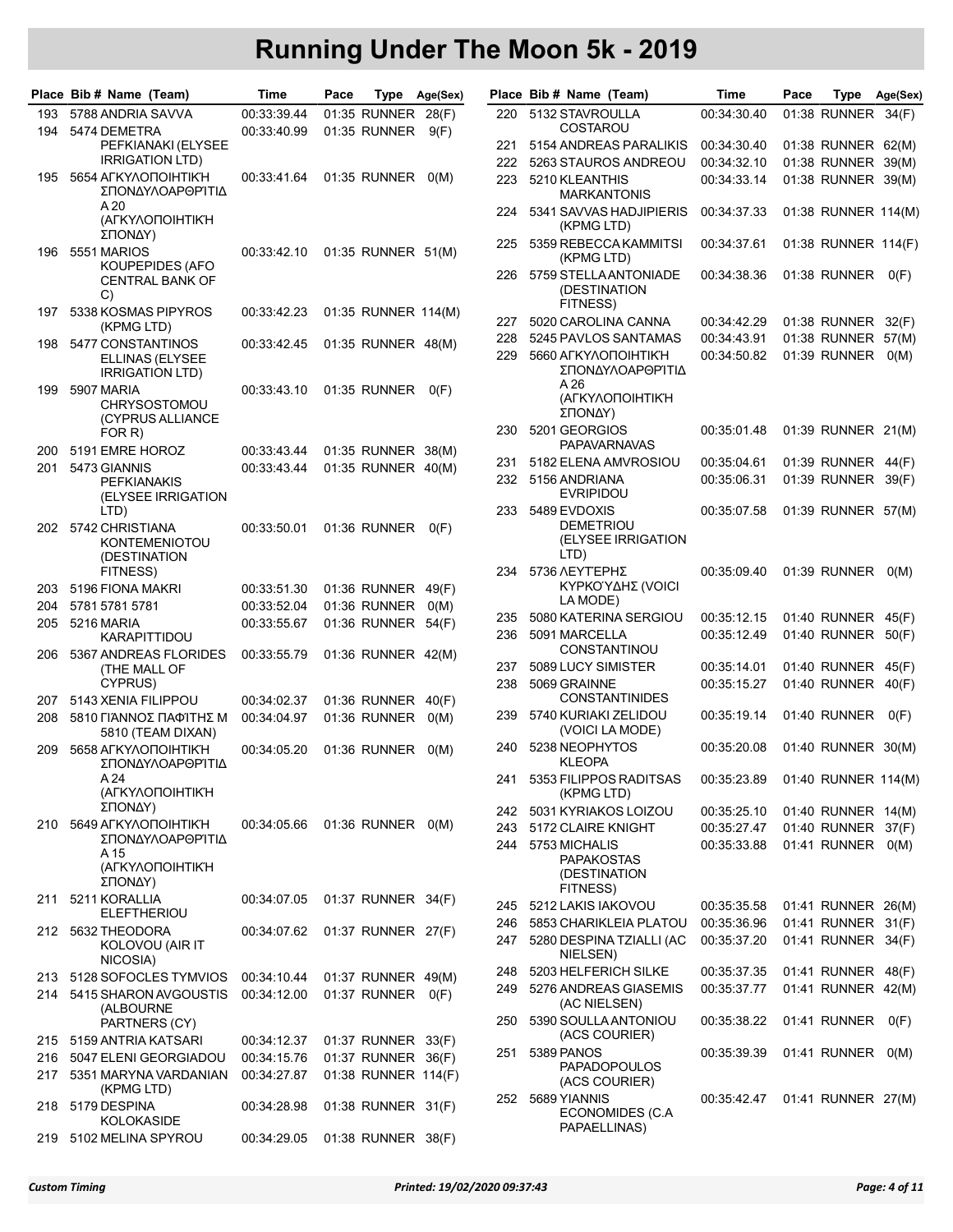|     | Place Bib # Name (Team)                                 | Time        | Pace |                     | Type Age(Sex) |     | Place Bib # Name (Team)                     | Time                               | Pace | Type                | Age(Sex) |
|-----|---------------------------------------------------------|-------------|------|---------------------|---------------|-----|---------------------------------------------|------------------------------------|------|---------------------|----------|
| 193 | 5788 ANDRIA SAVVA                                       | 00:33:39.44 |      | 01:35 RUNNER 28(F)  |               | 220 | 5132 STAVROULLA                             | 00:34:30.40                        |      | 01:38 RUNNER 34(F)  |          |
| 194 | 5474 DEMETRA                                            | 00:33:40.99 |      | 01:35 RUNNER        | 9(F)          |     | COSTAROU                                    |                                    |      |                     |          |
|     | PEFKIANAKI (ELYSEE                                      |             |      |                     |               | 221 | 5154 ANDREAS PARALIKIS                      | 00:34:30.40                        |      | 01:38 RUNNER 62(M)  |          |
|     | <b>IRRIGATION LTD)</b>                                  |             |      |                     |               | 222 | 5263 STAUROS ANDREOU                        | 00:34:32.10                        |      | 01:38 RUNNER 39(M)  |          |
| 195 | 5654 AFKYAONOIHTIK'H<br>ΣΠΟΝΔΥΛΟΑΡΘΡΊΤΙΔ                | 00:33:41.64 |      | 01:35 RUNNER        | O(M)          | 223 | 5210 KLEANTHIS<br><b>MARKANTONIS</b>        | 00:34:33.14                        |      | 01:38 RUNNER 39(M)  |          |
|     | A 20<br>(ΑΓΚΥΛΟΠΟΙΗΤΙΚΉ                                 |             |      |                     |               | 224 | 5341 SAVVAS HADJIPIERIS<br>(KPMG LTD)       | 00:34:37.33                        |      | 01:38 RUNNER 114(M) |          |
| 196 | ΣΠΟΝΔΥ)<br>5551 MARIOS                                  | 00:33:42.10 |      | 01:35 RUNNER 51(M)  |               | 225 | 5359 REBECCA KAMMITSI<br>(KPMG LTD)         | 00:34:37.61                        |      | 01:38 RUNNER 114(F) |          |
|     | KOUPEPIDES (AFO<br><b>CENTRAL BANK OF</b><br>C)         |             |      |                     |               | 226 | 5759 STELLAANTONIADE<br>(DESTINATION        | 00:34:38.36                        |      | 01:38 RUNNER        | O(F)     |
| 197 | 5338 KOSMAS PIPYROS<br>(KPMG LTD)                       | 00:33:42.23 |      | 01:35 RUNNER 114(M) |               | 227 | FITNESS)<br>5020 CAROLINA CANNA             | 00:34:42.29                        |      | 01:38 RUNNER 32(F)  |          |
| 198 | 5477 CONSTANTINOS                                       | 00:33:42.45 |      | 01:35 RUNNER 48(M)  |               | 228 | 5245 PAVLOS SANTAMAS                        | 00:34:43.91                        |      | 01:38 RUNNER 57(M)  |          |
|     | ELLINAS (ELYSEE<br><b>IRRIGATION LTD)</b>               |             |      |                     |               | 229 | 5660 AFKYAONOIHTIK'H<br>ΣΠΟΝΔΥΛΟΑΡΘΡΊΤΙΔ    | 00:34:50.82                        |      | 01:39 RUNNER 0(M)   |          |
| 199 | 5907 MARIA<br><b>CHRYSOSTOMOU</b>                       | 00:33:43.10 |      | 01:35 RUNNER        | O(F)          |     | A 26<br>(ΑΓΚΥΛΟΠΟΙΗΤΙΚΉ<br>ΣΠΟΝΔΥ)          |                                    |      |                     |          |
|     | (CYPRUS ALLIANCE<br>FOR R)                              |             |      |                     |               | 230 | 5201 GEORGIOS<br><b>PAPAVARNAVAS</b>        | 00:35:01.48                        |      | 01:39 RUNNER 21(M)  |          |
| 200 | 5191 EMRE HOROZ                                         | 00:33:43.44 |      | 01:35 RUNNER 38(M)  |               | 231 | 5182 ELENA AMVROSIOU                        | 00:35:04.61                        |      | 01:39 RUNNER 44(F)  |          |
| 201 | 5473 GIANNIS                                            | 00:33:43.44 |      | 01:35 RUNNER 40(M)  |               |     |                                             |                                    |      | 01:39 RUNNER 39(F)  |          |
|     | <b>PEFKIANAKIS</b><br>(ELYSEE IRRIGATION                |             |      |                     |               | 232 | 5156 ANDRIANA<br><b>EVRIPIDOU</b>           | 00:35:06.31                        |      |                     |          |
|     | LTD)                                                    |             |      |                     |               | 233 | 5489 EVDOXIS<br><b>DEMETRIOU</b>            | 00:35:07.58                        |      | 01:39 RUNNER 57(M)  |          |
| 202 | 5742 CHRISTIANA<br><b>KONTEMENIOTOU</b><br>(DESTINATION | 00:33:50.01 |      | 01:36 RUNNER        | O(F)          |     | (ELYSEE IRRIGATION<br>LTD)                  |                                    |      |                     |          |
|     | FITNESS)                                                |             |      |                     |               | 234 | 5736 ΛΕΥΤΈΡΗΣ                               | 00:35:09.40                        |      | 01:39 RUNNER 0(M)   |          |
| 203 | 5196 FIONA MAKRI                                        | 00:33:51.30 |      | 01:36 RUNNER 49(F)  |               |     | ΚΥΡΚΟΎΔΗΣ (VOICI                            |                                    |      |                     |          |
| 204 | 5781 5781 5781                                          | 00:33:52.04 |      | 01:36 RUNNER        | O(M)          |     | LA MODE)                                    |                                    |      |                     |          |
| 205 | 5216 MARIA                                              | 00:33:55.67 |      | 01:36 RUNNER 54(F)  |               | 235 | 5080 KATERINA SERGIOU                       | 00:35:12.15                        |      | 01:40 RUNNER 45(F)  |          |
|     | <b>KARAPITTIDOU</b>                                     |             |      |                     |               | 236 | 5091 MARCELLA<br><b>CONSTANTINOU</b>        | 00:35:12.49                        |      | 01:40 RUNNER 50(F)  |          |
| 206 | 5367 ANDREAS FLORIDES                                   | 00:33:55.79 |      | 01:36 RUNNER 42(M)  |               | 237 | 5089 LUCY SIMISTER                          | 00:35:14.01                        |      | 01:40 RUNNER 45(F)  |          |
|     | (THE MALL OF<br>CYPRUS)                                 |             |      |                     |               | 238 | 5069 GRAINNE                                | 00:35:15.27                        |      | 01:40 RUNNER 40(F)  |          |
| 207 | 5143 XENIA FILIPPOU                                     | 00:34:02.37 |      | 01:36 RUNNER 40(F)  |               |     | <b>CONSTANTINIDES</b>                       |                                    |      |                     |          |
| 208 | 5810 ΓΙΆΝΝΟΣ ΠΑΦΊΤΗΣ Μ                                  | 00:34:04.97 |      | 01:36 RUNNER        | O(M)          | 239 | 5740 KURIAKI ZELIDOU                        | 00:35:19.14                        |      | 01:40 RUNNER        | O(F)     |
| 209 | 5810 (TEAM DIXAN)<br>5658 АГКҮЛОПОІНТІК'Н               |             |      | 01:36 RUNNER        |               | 240 | (VOICI LA MODE)<br>5238 NEOPHYTOS           | 00:35:20.08                        |      | 01:40 RUNNER 30(M)  |          |
|     | ΣΠΟΝΔΥΛΟΑΡΘΡΊΤΙΔ<br>A 24                                | 00:34:05.20 |      |                     | O(M)          |     | <b>KLEOPA</b><br>241 5353 FILIPPOS RADITSAS | 00:35:23.89  01:40  RUNNER  114(M) |      |                     |          |
|     | (ΑΓΚΥΛΟΠΟΙΗΤΙΚΉ<br>ΣΠΟΝΔΥ)                              |             |      |                     |               |     | (KPMG LTD)                                  |                                    |      |                     |          |
| 210 | 5649 AFKYAONOIHTIK'H                                    | 00:34:05.66 |      | 01:36 RUNNER 0(M)   |               | 242 | 5031 KYRIAKOS LOIZOU                        | 00:35:25.10                        |      | 01:40 RUNNER 14(M)  |          |
|     | ΣΠΟΝΔΥΛΟΑΡΘΡΊΤΙΔ                                        |             |      |                     |               | 243 | 5172 CLAIRE KNIGHT                          | 00:35:27.47                        |      | 01:40 RUNNER 37(F)  |          |
|     | A 15                                                    |             |      |                     |               | 244 | 5753 MICHALIS<br><b>PAPAKOSTAS</b>          | 00:35:33.88                        |      | 01:41 RUNNER 0(M)   |          |
|     | (ΑΓΚΥΛΟΠΟΙΗΤΙΚΉ                                         |             |      |                     |               |     | (DESTINATION                                |                                    |      |                     |          |
|     | ΣΠΟΝΔΥ)                                                 |             |      |                     |               |     | FITNESS)                                    |                                    |      |                     |          |
| 211 | 5211 KORALLIA<br><b>ELEFTHERIOU</b>                     | 00:34:07.05 |      | 01:37 RUNNER 34(F)  |               | 245 | 5212 LAKIS IAKOVOU                          | 00:35:35.58                        |      | 01:41 RUNNER 26(M)  |          |
|     | 212 5632 THEODORA                                       | 00:34:07.62 |      | 01:37 RUNNER 27(F)  |               | 246 | 5853 CHARIKLEIA PLATOU                      | 00:35:36.96                        |      | 01:41 RUNNER 31(F)  |          |
|     | KOLOVOU (AIR IT<br>NICOSIA)                             |             |      |                     |               | 247 | 5280 DESPINA TZIALLI (AC<br>NIELSEN)        | 00:35:37.20                        |      | 01:41 RUNNER 34(F)  |          |
|     | 213 5128 SOFOCLES TYMVIOS                               | 00:34:10.44 |      | 01:37 RUNNER 49(M)  |               | 248 | 5203 HELFERICH SILKE                        | 00:35:37.35                        |      | 01:41 RUNNER 48(F)  |          |
|     | 214 5415 SHARON AVGOUSTIS                               | 00:34:12.00 |      | 01:37 RUNNER 0(F)   |               | 249 | 5276 ANDREAS GIASEMIS                       | 00:35:37.77                        |      | 01:41 RUNNER 42(M)  |          |
|     | (ALBOURNE<br>PARTNERS (CY)                              |             |      |                     |               | 250 | (AC NIELSEN)<br>5390 SOULLA ANTONIOU        | 00:35:38.22                        |      | 01:41 RUNNER        | O(F)     |
|     | 215 5159 ANTRIA KATSARI                                 | 00:34:12.37 |      | 01:37 RUNNER 33(F)  |               |     | (ACS COURIER)                               |                                    |      |                     |          |
|     | 216 5047 ELENI GEORGIADOU                               | 00:34:15.76 |      | 01:37 RUNNER 36(F)  |               | 251 | 5389 PANOS                                  | 00:35:39.39                        |      | 01:41 RUNNER 0(M)   |          |
| 217 | 5351 MARYNA VARDANIAN                                   | 00:34:27.87 |      | 01:38 RUNNER 114(F) |               |     | <b>PAPADOPOULOS</b>                         |                                    |      |                     |          |
|     | (KPMG LTD)<br>218 5179 DESPINA                          | 00:34:28.98 |      | 01:38 RUNNER 31(F)  |               | 252 | (ACS COURIER)<br>5689 YIANNIS               | 00:35:42.47                        |      | 01:41 RUNNER 27(M)  |          |
|     | KOLOKASIDE                                              |             |      |                     |               |     | ECONOMIDES (C.A.<br>PAPAELLINAS)            |                                    |      |                     |          |
|     | 219 5102 MELINA SPYROU                                  | 00:34:29.05 |      | 01:38 RUNNER 38(F)  |               |     |                                             |                                    |      |                     |          |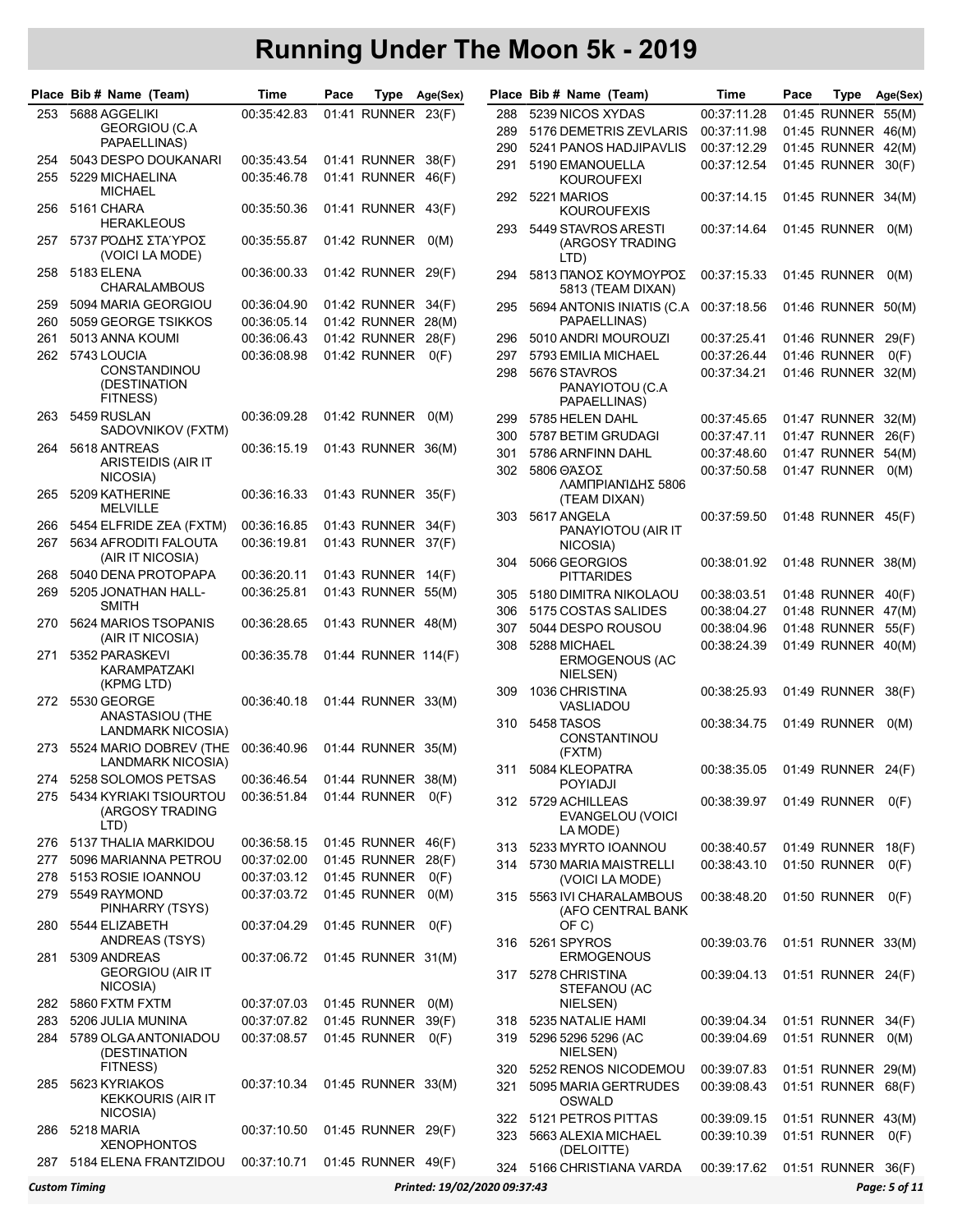|     | Place Bib # Name (Team)                            | Time        | Pace |                     | Type Age(Sex) |       | Place Bib # Name (Team)                            | Time                              | Pace | Type               | Age(Sex) |
|-----|----------------------------------------------------|-------------|------|---------------------|---------------|-------|----------------------------------------------------|-----------------------------------|------|--------------------|----------|
| 253 | 5688 AGGELIKI                                      | 00:35:42.83 |      | 01:41 RUNNER 23(F)  |               | 288   | 5239 NICOS XYDAS                                   | 00:37:11.28                       |      | 01:45 RUNNER 55(M) |          |
|     | GEORGIOU (C.A                                      |             |      |                     |               | 289   | 5176 DEMETRIS ZEVLARIS                             | 00:37:11.98                       |      | 01:45 RUNNER 46(M) |          |
|     | PAPAELLINAS)                                       |             |      |                     |               | 290   | 5241 PANOS HADJIPAVLIS                             | 00:37:12.29                       |      | 01:45 RUNNER 42(M) |          |
| 254 | 5043 DESPO DOUKANARI                               | 00:35:43.54 |      | 01:41 RUNNER 38(F)  |               | 291   | 5190 EMANOUELLA                                    | 00:37:12.54                       |      | 01:45 RUNNER       | 30(F)    |
| 255 | 5229 MICHAELINA<br><b>MICHAEL</b>                  | 00:35:46.78 |      | 01:41 RUNNER 46(F)  |               |       | <b>KOUROUFEXI</b>                                  |                                   |      |                    |          |
| 256 | 5161 CHARA<br><b>HERAKLEOUS</b>                    | 00:35:50.36 |      | 01:41 RUNNER 43(F)  |               | 292   | 5221 MARIOS<br><b>KOUROUFEXIS</b>                  | 00:37:14.15                       |      | 01:45 RUNNER 34(M) |          |
| 257 | 5737 ΡΌΔΗΣ ΣΤΑΎΡΟΣ<br>(VOICI LA MODE)              | 00:35:55.87 |      | 01:42 RUNNER        | O(M)          | 293   | 5449 STAVROS ARESTI<br>(ARGOSY TRADING<br>LTD)     | 00:37:14.64                       |      | 01:45 RUNNER       | O(M)     |
| 258 | 5183 ELENA<br><b>CHARALAMBOUS</b>                  | 00:36:00.33 |      | 01:42 RUNNER 29(F)  |               | 294   | 5813 ΠΆΝΟΣ ΚΟΥΜΟΥΡΌΣ<br>5813 (TEAM DIXAN)          | 00:37:15.33                       |      | 01:45 RUNNER       | O(M)     |
| 259 | 5094 MARIA GEORGIOU                                | 00:36:04.90 |      | 01:42 RUNNER 34(F)  |               | 295   | 5694 ANTONIS INIATIS (C.A.                         | 00:37:18.56                       |      | 01:46 RUNNER 50(M) |          |
| 260 | 5059 GEORGE TSIKKOS                                | 00:36:05.14 |      | 01:42 RUNNER 28(M)  |               |       | PAPAELLINAS)                                       |                                   |      |                    |          |
| 261 | 5013 ANNA KOUMI                                    | 00:36:06.43 |      | 01:42 RUNNER        | 28(F)         | 296   | 5010 ANDRI MOUROUZI                                | 00:37:25.41                       |      | 01:46 RUNNER       | 29(F)    |
| 262 | 5743 LOUCIA                                        | 00:36:08.98 |      | 01:42 RUNNER        | O(F)          | 297   | 5793 EMILIA MICHAEL                                | 00:37:26.44                       |      | 01:46 RUNNER       | O(F)     |
|     | <b>CONSTANDINOU</b><br>(DESTINATION<br>FITNESS)    |             |      |                     |               | 298   | 5676 STAVROS<br>PANAYIOTOU (C.A<br>PAPAELLINAS)    | 00:37:34.21                       |      | 01:46 RUNNER 32(M) |          |
| 263 | 5459 RUSLAN                                        | 00:36:09.28 |      | 01:42 RUNNER        | O(M)          | 299   | 5785 HELEN DAHL                                    | 00:37:45.65                       |      | 01:47 RUNNER 32(M) |          |
|     | SADOVNIKOV (FXTM)                                  |             |      |                     |               | 300   | 5787 BETIM GRUDAGI                                 | 00:37:47.11                       |      | 01:47 RUNNER       | 26(F)    |
| 264 | 5618 ANTREAS                                       | 00:36:15.19 |      | 01:43 RUNNER 36(M)  |               | 301   | 5786 ARNFINN DAHL                                  | 00:37:48.60                       |      | 01:47 RUNNER       | 54(M)    |
|     | ARISTEIDIS (AIR IT<br>NICOSIA)                     |             |      |                     |               | 302   | 5806 ΘΆΣΟΣ                                         | 00:37:50.58                       |      | 01:47 RUNNER       | O(M)     |
| 265 | 5209 KATHERINE<br><b>MELVILLE</b>                  | 00:36:16.33 |      | 01:43 RUNNER 35(F)  |               |       | ΛΑΜΠΡΙΑΝΊΔΗΣ 5806<br>(TEAM DIXAN)                  |                                   |      |                    |          |
| 266 | 5454 ELFRIDE ZEA (FXTM)                            | 00:36:16.85 |      | 01:43 RUNNER 34(F)  |               | 303   | 5617 ANGELA                                        | 00:37:59.50                       |      | 01:48 RUNNER 45(F) |          |
| 267 | 5634 AFRODITI FALOUTA                              | 00:36:19.81 |      | 01:43 RUNNER 37(F)  |               |       | PANAYIOTOU (AIR IT<br>NICOSIA)                     |                                   |      |                    |          |
| 268 | (AIR IT NICOSIA)<br>5040 DENA PROTOPAPA            | 00:36:20.11 |      | 01:43 RUNNER 14(F)  |               | 304   | 5066 GEORGIOS                                      | 00:38:01.92                       |      | 01:48 RUNNER 38(M) |          |
| 269 | 5205 JONATHAN HALL-                                | 00:36:25.81 |      | 01:43 RUNNER 55(M)  |               |       | <b>PITTARIDES</b>                                  |                                   |      |                    |          |
|     | <b>SMITH</b>                                       |             |      |                     |               | 305   | 5180 DIMITRA NIKOLAOU                              | 00:38:03.51                       |      | 01:48 RUNNER 40(F) |          |
| 270 | 5624 MARIOS TSOPANIS                               | 00:36:28.65 |      | 01:43 RUNNER 48(M)  |               | 306   | 5175 COSTAS SALIDES                                | 00:38:04.27                       |      | 01:48 RUNNER 47(M) |          |
|     | (AIR IT NICOSIA)                                   |             |      |                     |               | 307   | 5044 DESPO ROUSOU                                  | 00:38:04.96                       |      | 01:48 RUNNER       | 55(F)    |
| 271 | 5352 PARASKEVI<br>KARAMPATZAKI<br>(KPMG LTD)       | 00:36:35.78 |      | 01:44 RUNNER 114(F) |               | 308   | 5288 MICHAEL<br>ERMOGENOUS (AC<br>NIELSEN)         | 00:38:24.39                       |      | 01:49 RUNNER 40(M) |          |
| 272 | 5530 GEORGE                                        | 00:36:40.18 |      | 01:44 RUNNER 33(M)  |               | 309   | 1036 CHRISTINA<br>VASLIADOU                        | 00:38:25.93                       |      | 01:49 RUNNER       | 38(F)    |
|     | ANASTASIOU (THE<br>LANDMARK NICOSIA)               |             |      |                     |               | 310   | 5458 TASOS<br><b>CONSTANTINOU</b>                  | 00:38:34.75                       |      | 01:49 RUNNER       | O(M)     |
| 273 | 5524 MARIO DOBREV (THE<br><b>LANDMARK NICOSIA)</b> | 00:36:40.96 |      | 01:44 RUNNER 35(M)  |               | 311   | (FXTM)<br>5084 KLEOPATRA                           | 00:38:35.05                       |      | 01:49 RUNNER 24(F) |          |
| 274 | 5258 SOLOMOS PETSAS                                | 00:36:46.54 |      | 01:44 RUNNER 38(M)  |               |       | <b>POYIADJI</b>                                    |                                   |      |                    |          |
| 275 | 5434 KYRIAKI TSIOURTOU<br>(ARGOSY TRADING<br>LTD)  | 00:36:51.84 |      | 01:44 RUNNER        | O(F)          |       | 312 5729 ACHILLEAS<br>EVANGELOU (VOICI<br>LA MODE) | 00:38:39.97                       |      | 01:49 RUNNER       | O(F)     |
| 276 | 5137 THALIA MARKIDOU                               | 00:36:58.15 |      | 01:45 RUNNER 46(F)  |               | 313.  | 5233 MYRTO IOANNOU                                 | 00:38:40.57                       |      | 01:49 RUNNER 18(F) |          |
| 277 | 5096 MARIANNA PETROU                               | 00:37:02.00 |      | 01:45 RUNNER        | 28(F)         | 314   | 5730 MARIA MAISTRELLI                              | 00:38:43.10                       |      | 01:50 RUNNER       | O(F)     |
| 278 | 5153 ROSIE IOANNOU                                 | 00:37:03.12 |      | 01:45 RUNNER        | O(F)          |       | (VOICI LA MODE)                                    |                                   |      |                    |          |
| 279 | 5549 RAYMOND<br>PINHARRY (TSYS)                    | 00:37:03.72 |      | 01:45 RUNNER        | O(M)          |       | 315 5563 IVI CHARALAMBOUS<br>(AFO CENTRAL BANK     | 00:38:48.20                       |      | 01:50 RUNNER       | O(F)     |
| 280 | 5544 ELIZABETH<br>ANDREAS (TSYS)                   | 00:37:04.29 |      | 01:45 RUNNER        | O(F)          | 316   | OF C)<br>5261 SPYROS                               | 00:39:03.76                       |      | 01:51 RUNNER 33(M) |          |
| 281 | 5309 ANDREAS<br><b>GEORGIOU (AIR IT</b>            | 00:37:06.72 |      | 01:45 RUNNER 31(M)  |               | 317 - | <b>ERMOGENOUS</b><br>5278 CHRISTINA                | 00:39:04.13                       |      | 01:51 RUNNER 24(F) |          |
| 282 | NICOSIA)<br>5860 FXTM FXTM                         | 00:37:07.03 |      | 01:45 RUNNER        | O(M)          |       | STEFANOU (AC<br>NIELSEN)                           |                                   |      |                    |          |
| 283 | 5206 JULIA MUNINA                                  | 00:37:07.82 |      | 01:45 RUNNER        | 39(F)         | 318   | 5235 NATALIE HAMI                                  | 00:39:04.34                       |      | 01:51 RUNNER 34(F) |          |
| 284 | 5789 OLGA ANTONIADOU                               | 00:37:08.57 |      | 01:45 RUNNER        | O(F)          | 319   | 5296 5296 5296 (AC                                 | 00:39:04.69                       |      | 01:51 RUNNER       | O(M)     |
|     | (DESTINATION<br>FITNESS)                           |             |      |                     |               | 320   | NIELSEN)<br>5252 RENOS NICODEMOU                   | 00:39:07.83                       |      | 01:51 RUNNER 29(M) |          |
| 285 | 5623 KYRIAKOS<br><b>KEKKOURIS (AIR IT</b>          | 00:37:10.34 |      | 01:45 RUNNER 33(M)  |               | 321   | 5095 MARIA GERTRUDES<br>OSWALD                     | 00:39:08.43                       |      | 01:51 RUNNER 68(F) |          |
|     | NICOSIA)                                           |             |      |                     |               | 322   | 5121 PETROS PITTAS                                 | 00:39:09.15                       |      | 01:51 RUNNER 43(M) |          |
| 286 | 5218 MARIA<br><b>XENOPHONTOS</b>                   | 00:37:10.50 |      | 01:45 RUNNER 29(F)  |               | 323   | 5663 ALEXIA MICHAEL<br>(DELOITTE)                  | 00:39:10.39                       |      | 01:51 RUNNER       | O(F)     |
| 287 | 5184 ELENA FRANTZIDOU                              | 00:37:10.71 |      | 01:45 RUNNER 49(F)  |               |       | 324 5166 CHRISTIANA VARDA                          | 00:39:17.62  01:51  RUNNER  36(F) |      |                    |          |

|     | Place Bib # Name (Team)                   | Time        | Pace | Type                | Age(Sex)                     |     | Place Bib # Name (Team)                      | Time        | Pace | Type               | Age(Sex)      |
|-----|-------------------------------------------|-------------|------|---------------------|------------------------------|-----|----------------------------------------------|-------------|------|--------------------|---------------|
| 253 | 5688 AGGELIKI                             | 00:35:42.83 |      | 01:41 RUNNER 23(F)  |                              | 288 | 5239 NICOS XYDAS                             | 00:37:11.28 |      | 01:45 RUNNER 55(M) |               |
|     | <b>GEORGIOU (C.A</b>                      |             |      |                     |                              | 289 | 5176 DEMETRIS ZEVLARIS                       | 00:37:11.98 |      | 01:45 RUNNER 46(M) |               |
|     | PAPAELLINAS)                              |             |      |                     |                              | 290 | 5241 PANOS HADJIPAVLIS                       | 00:37:12.29 |      | 01:45 RUNNER 42(M) |               |
| 254 | 5043 DESPO DOUKANARI                      | 00:35:43.54 |      | 01:41 RUNNER 38(F)  |                              | 291 | 5190 EMANOUELLA                              | 00:37:12.54 |      | 01:45 RUNNER 30(F) |               |
| 255 | 5229 MICHAELINA                           | 00:35:46.78 |      | 01:41 RUNNER 46(F)  |                              |     | <b>KOUROUFEXI</b>                            |             |      |                    |               |
|     | <b>MICHAEL</b>                            |             |      |                     |                              |     | 292 5221 MARIOS                              | 00:37:14.15 |      | 01:45 RUNNER 34(M) |               |
| 256 | 5161 CHARA                                | 00:35:50.36 |      | 01:41 RUNNER 43(F)  |                              |     | <b>KOUROUFEXIS</b>                           |             |      |                    |               |
|     | <b>HERAKLEOUS</b>                         |             |      |                     |                              | 293 | 5449 STAVROS ARESTI                          | 00:37:14.64 |      | 01:45 RUNNER 0(M)  |               |
| 257 | 5737 ΡΌΔΗΣ ΣΤΑΎΡΟΣ                        | 00:35:55.87 |      | 01:42 RUNNER        | O(M)                         |     | (ARGOSY TRADING                              |             |      |                    |               |
|     | (VOICI LA MODE)                           |             |      |                     |                              |     | LTD)                                         |             |      |                    |               |
| 258 | 5183 ELENA                                | 00:36:00.33 |      | 01:42 RUNNER 29(F)  |                              | 294 | 5813 ΠΆΝΟΣ ΚΟΥΜΟΥΡΌΣ                         | 00:37:15.33 |      | 01:45 RUNNER 0(M)  |               |
|     | <b>CHARALAMBOUS</b>                       |             |      |                     |                              |     | 5813 (TEAM DIXAN)                            |             |      |                    |               |
| 259 | 5094 MARIA GEORGIOU                       | 00:36:04.90 |      | 01:42 RUNNER 34(F)  |                              | 295 | 5694 ANTONIS INIATIS (C.A.                   | 00:37:18.56 |      | 01:46 RUNNER 50(M) |               |
| 260 | 5059 GEORGE TSIKKOS                       | 00:36:05.14 |      | 01:42 RUNNER 28(M)  |                              |     | PAPAELLINAS)                                 |             |      |                    |               |
| 261 | 5013 ANNA KOUMI                           | 00:36:06.43 |      | 01:42 RUNNER        | 28(F)                        | 296 | 5010 ANDRI MOUROUZI                          | 00:37:25.41 |      | 01:46 RUNNER 29(F) |               |
| 262 | 5743 LOUCIA                               | 00:36:08.98 |      | 01:42 RUNNER        | O(F)                         | 297 | 5793 EMILIA MICHAEL                          | 00:37:26.44 |      | 01:46 RUNNER       | O(F)          |
|     | CONSTANDINOU                              |             |      |                     |                              | 298 | 5676 STAVROS                                 | 00:37:34.21 |      | 01:46 RUNNER 32(M) |               |
|     | (DESTINATION                              |             |      |                     |                              |     | PANAYIOTOU (C.A.                             |             |      |                    |               |
|     | FITNESS)                                  |             |      |                     |                              |     | PAPAELLINAS)                                 |             |      |                    |               |
| 263 | 5459 RUSLAN                               | 00:36:09.28 |      | 01:42 RUNNER        | O(M)                         | 299 | 5785 HELEN DAHL                              | 00:37:45.65 |      | 01:47 RUNNER 32(M) |               |
|     | SADOVNIKOV (FXTM)                         |             |      |                     |                              | 300 | 5787 BETIM GRUDAGI                           | 00:37:47.11 |      | 01:47 RUNNER 26(F) |               |
| 264 | 5618 ANTREAS                              | 00:36:15.19 |      | 01:43 RUNNER 36(M)  |                              | 301 | 5786 ARNFINN DAHL                            | 00:37:48.60 |      | 01:47 RUNNER 54(M) |               |
|     | ARISTEIDIS (AIR IT<br>NICOSIA)            |             |      |                     |                              | 302 | 5806 ΘΆΣΟΣ                                   | 00:37:50.58 |      | 01:47 RUNNER 0(M)  |               |
|     | 5209 KATHERINE                            |             |      | 01:43 RUNNER 35(F)  |                              |     | ΛΑΜΠΡΙΑΝΊΔΗΣ 5806                            |             |      |                    |               |
| 265 | <b>MELVILLE</b>                           | 00:36:16.33 |      |                     |                              |     | (TEAM DIXAN)                                 |             |      |                    |               |
| 266 | 5454 ELFRIDE ZEA (FXTM)                   | 00:36:16.85 |      | 01:43 RUNNER 34(F)  |                              | 303 | 5617 ANGELA                                  | 00:37:59.50 |      | 01:48 RUNNER 45(F) |               |
|     |                                           |             |      |                     |                              |     | PANAYIOTOU (AIR IT                           |             |      |                    |               |
| 267 | 5634 AFRODITI FALOUTA<br>(AIR IT NICOSIA) | 00:36:19.81 |      | 01:43 RUNNER 37(F)  |                              |     | NICOSIA)                                     |             |      |                    |               |
| 268 | 5040 DENA PROTOPAPA                       | 00:36:20.11 |      | 01:43 RUNNER 14(F)  |                              | 304 | 5066 GEORGIOS                                | 00:38:01.92 |      | 01:48 RUNNER 38(M) |               |
|     |                                           |             |      |                     |                              |     | <b>PITTARIDES</b>                            |             |      |                    |               |
| 269 | 5205 JONATHAN HALL-                       | 00:36:25.81 |      | 01:43 RUNNER 55(M)  |                              | 305 | 5180 DIMITRA NIKOLAOU                        | 00:38:03.51 |      | 01:48 RUNNER 40(F) |               |
|     | SMITH                                     |             |      |                     |                              | 306 | 5175 COSTAS SALIDES                          | 00:38:04.27 |      | 01:48 RUNNER 47(M) |               |
| 270 | 5624 MARIOS TSOPANIS                      | 00:36:28.65 |      | 01:43 RUNNER 48(M)  |                              | 307 | 5044 DESPO ROUSOU                            | 00:38:04.96 |      | 01:48 RUNNER 55(F) |               |
|     | (AIR IT NICOSIA)                          |             |      |                     |                              | 308 | 5288 MICHAEL                                 | 00:38:24.39 |      | 01:49 RUNNER 40(M) |               |
| 271 | 5352 PARASKEVI<br>KARAMPATZAKI            | 00:36:35.78 |      | 01:44 RUNNER 114(F) |                              |     | ERMOGENOUS (AC                               |             |      |                    |               |
|     | (KPMG LTD)                                |             |      |                     |                              |     | NIELSEN)                                     |             |      |                    |               |
| 272 | 5530 GEORGE                               | 00:36:40.18 |      | 01:44 RUNNER 33(M)  |                              | 309 | 1036 CHRISTINA                               | 00:38:25.93 |      | 01:49 RUNNER 38(F) |               |
|     | ANASTASIOU (THE                           |             |      |                     |                              |     | VASLIADOU                                    |             |      |                    |               |
|     | <b>LANDMARK NICOSIA)</b>                  |             |      |                     |                              | 310 | 5458 TASOS                                   | 00:38:34.75 |      | 01:49 RUNNER       | O(M)          |
| 273 | 5524 MARIO DOBREV (THE                    | 00:36:40.96 |      | 01:44 RUNNER 35(M)  |                              |     | CONSTANTINOU                                 |             |      |                    |               |
|     | LANDMARK NICOSIA)                         |             |      |                     |                              |     | (FXTM)                                       |             |      |                    |               |
| 274 | 5258 SOLOMOS PETSAS                       | 00:36:46.54 |      | 01:44 RUNNER 38(M)  |                              | 311 | 5084 KLEOPATRA<br><b>POYIADJI</b>            | 00:38:35.05 |      | 01:49 RUNNER 24(F) |               |
| 275 | 5434 KYRIAKI TSIOURTOU                    | 00:36:51.84 |      | 01:44 RUNNER        | O(F)                         |     |                                              |             |      |                    |               |
|     | (ARGOSY TRADING                           |             |      |                     |                              |     | 312 5729 ACHILLEAS<br>EVANGELOU (VOICI       | 00:38:39.97 |      | 01:49 RUNNER 0(F)  |               |
|     | LTD)                                      |             |      |                     |                              |     | LA MODE)                                     |             |      |                    |               |
| 276 | 5137 THALIA MARKIDOU                      | 00:36:58.15 |      | 01:45 RUNNER 46(F)  |                              |     | 313 5233 MYRTO IOANNOU                       | 00:38:40.57 |      | 01:49 RUNNER 18(F) |               |
| 277 | 5096 MARIANNA PETROU                      | 00:37:02.00 |      | 01:45 RUNNER 28(F)  |                              |     |                                              |             |      | 01:50 RUNNER 0(F)  |               |
| 278 | 5153 ROSIE IOANNOU                        | 00:37:03.12 |      | 01:45 RUNNER        | O(F)                         |     | 314 5730 MARIA MAISTRELLI<br>(VOICI LA MODE) | 00:38:43.10 |      |                    |               |
| 279 | 5549 RAYMOND                              | 00:37:03.72 |      | 01:45 RUNNER        | O(M)                         | 315 | 5563 IVI CHARALAMBOUS                        | 00:38:48.20 |      | 01:50 RUNNER 0(F)  |               |
|     | PINHARRY (TSYS)                           |             |      |                     |                              |     | (AFO CENTRAL BANK                            |             |      |                    |               |
| 280 | 5544 ELIZABETH                            | 00:37:04.29 |      | 01:45 RUNNER        | O(F)                         |     | OF C)                                        |             |      |                    |               |
|     | ANDREAS (TSYS)                            |             |      |                     |                              |     | 316 5261 SPYROS                              | 00:39:03.76 |      | 01:51 RUNNER 33(M) |               |
| 281 | 5309 ANDREAS                              | 00:37:06.72 |      | 01:45 RUNNER 31(M)  |                              |     | <b>ERMOGENOUS</b>                            |             |      |                    |               |
|     | GEORGIOU (AIR IT                          |             |      |                     |                              | 317 | 5278 CHRISTINA                               | 00:39:04.13 |      | 01:51 RUNNER 24(F) |               |
|     | NICOSIA)                                  |             |      |                     |                              |     | STEFANOU (AC                                 |             |      |                    |               |
| 282 | 5860 FXTM FXTM                            | 00:37:07.03 |      | 01:45 RUNNER 0(M)   |                              |     | NIELSEN)                                     |             |      |                    |               |
| 283 | 5206 JULIA MUNINA                         | 00:37:07.82 |      | 01:45 RUNNER 39(F)  |                              | 318 | 5235 NATALIE HAMI                            | 00:39:04.34 |      | 01:51 RUNNER 34(F) |               |
| 284 | 5789 OLGA ANTONIADOU                      | 00:37:08.57 |      | 01:45 RUNNER        | O(F)                         | 319 | 5296 5296 5296 (AC                           | 00:39:04.69 |      | 01:51 RUNNER 0(M)  |               |
|     | (DESTINATION                              |             |      |                     |                              |     | NIELSEN)                                     |             |      |                    |               |
|     | FITNESS)                                  |             |      |                     |                              | 320 | 5252 RENOS NICODEMOU                         | 00:39:07.83 |      | 01:51 RUNNER 29(M) |               |
| 285 | 5623 KYRIAKOS                             | 00:37:10.34 |      | 01:45 RUNNER 33(M)  |                              | 321 | 5095 MARIA GERTRUDES                         | 00:39:08.43 |      | 01:51 RUNNER 68(F) |               |
|     | <b>KEKKOURIS (AIR IT</b>                  |             |      |                     |                              |     | OSWALD                                       |             |      |                    |               |
|     | NICOSIA)                                  |             |      |                     |                              | 322 | 5121 PETROS PITTAS                           | 00:39:09.15 |      | 01:51 RUNNER 43(M) |               |
| 286 | 5218 MARIA                                | 00:37:10.50 |      | 01:45 RUNNER 29(F)  |                              | 323 | 5663 ALEXIA MICHAEL                          | 00:39:10.39 |      | 01:51 RUNNER 0(F)  |               |
|     | <b>XENOPHONTOS</b>                        |             |      |                     |                              |     | (DELOITTE)                                   |             |      |                    |               |
| 287 | 5184 ELENA FRANTZIDOU                     | 00:37:10.71 |      | 01:45 RUNNER 49(F)  |                              |     | 324 5166 CHRISTIANA VARDA                    | 00:39:17.62 |      | 01:51 RUNNER 36(F) |               |
|     | <b>Custom Timing</b>                      |             |      |                     | Printed: 19/02/2020 09:37:43 |     |                                              |             |      |                    | Page: 5 of 11 |
|     |                                           |             |      |                     |                              |     |                                              |             |      |                    |               |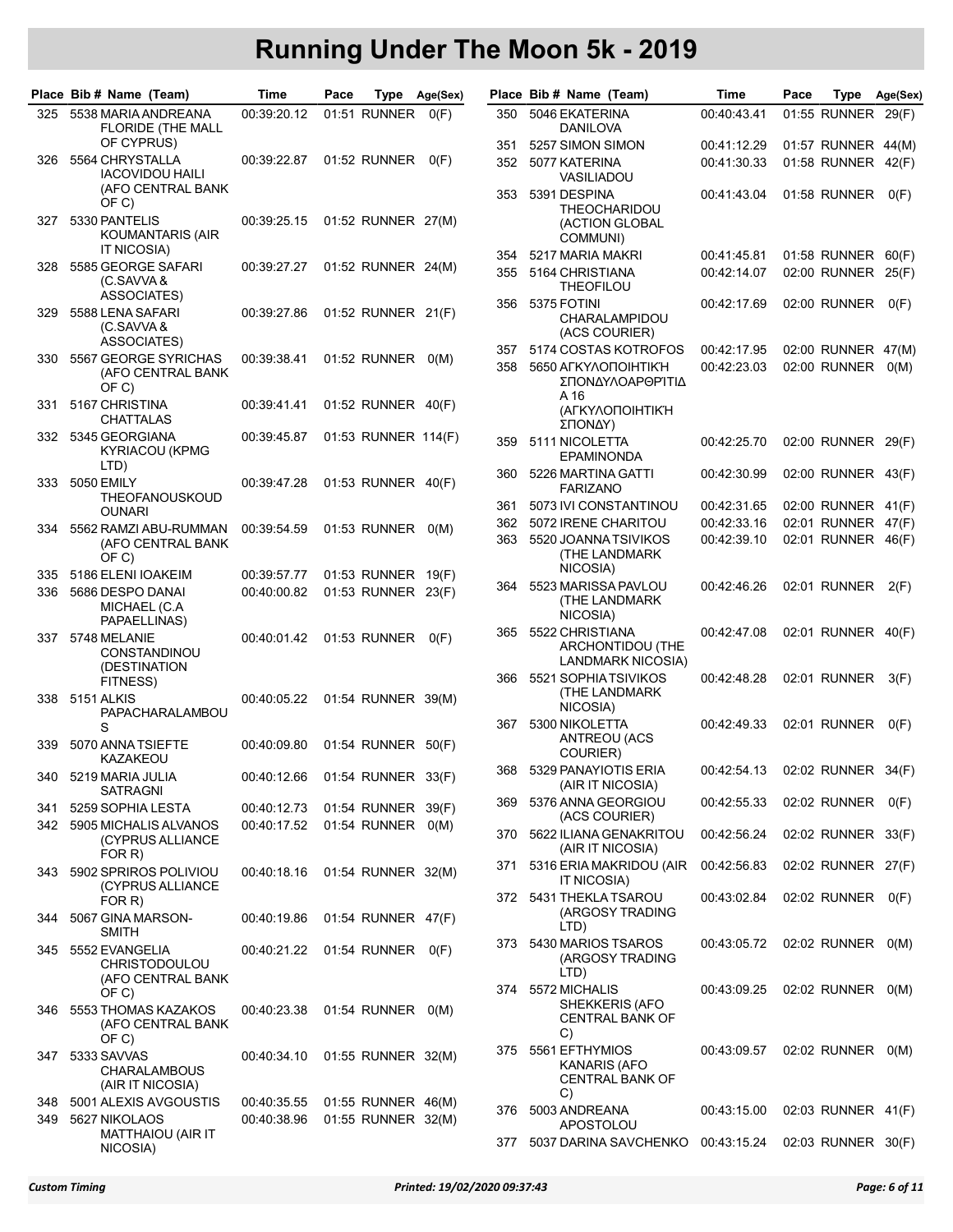|       | Place Bib # Name (Team)                                    | Time                              | Pace | Type                | Age(Sex) |     | Place Bib # Name (Team)                                      | Time        | Pace | Type               | Age(Sex) |
|-------|------------------------------------------------------------|-----------------------------------|------|---------------------|----------|-----|--------------------------------------------------------------|-------------|------|--------------------|----------|
| 325   | 5538 MARIA ANDREANA<br><b>FLORIDE (THE MALL</b>            | 00:39:20.12                       |      | 01:51 RUNNER        | O(F)     | 350 | 5046 EKATERINA<br>DANILOVA                                   | 00:40:43.41 |      | 01:55 RUNNER 29(F) |          |
|       | OF CYPRUS)                                                 |                                   |      |                     |          | 351 | 5257 SIMON SIMON                                             | 00:41:12.29 |      | 01:57 RUNNER 44(M) |          |
| 326   | 5564 CHRYSTALLA<br><b>IACOVIDOU HAILI</b>                  | 00:39:22.87                       |      | 01:52 RUNNER        | O(F)     | 352 | 5077 KATERINA<br>VASILIADOU                                  | 00:41:30:33 |      | 01:58 RUNNER 42(F) |          |
|       | (AFO CENTRAL BANK<br>OF C)                                 |                                   |      |                     |          | 353 | 5391 DESPINA<br>THEOCHARIDOU                                 | 00:41:43.04 |      | 01:58 RUNNER       | O(F)     |
| 327   | 5330 PANTELIS<br>KOUMANTARIS (AIR<br><b>IT NICOSIA)</b>    | 00:39:25.15                       |      | 01:52 RUNNER 27(M)  |          |     | (ACTION GLOBAL<br>COMMUNI)                                   |             |      |                    |          |
| 328   | 5585 GEORGE SAFARI                                         |                                   |      |                     |          | 354 | 5217 MARIA MAKRI                                             | 00:41:45.81 |      | 01:58 RUNNER 60(F) |          |
|       | (C.SAVVA &<br>ASSOCIATES)                                  | 00:39:27.27                       |      | 01:52 RUNNER 24(M)  |          | 355 | 5164 CHRISTIANA<br><b>THEOFILOU</b>                          | 00:42:14.07 |      | 02:00 RUNNER 25(F) |          |
| 329   | 5588 LENA SAFARI<br>(C.SAVVA&                              | 00:39:27.86                       |      | 01:52 RUNNER 21(F)  |          | 356 | 5375 FOTINI<br>CHARALAMPIDOU<br>(ACS COURIER)                | 00:42:17.69 |      | 02:00 RUNNER       | O(F)     |
|       | <b>ASSOCIATES)</b>                                         |                                   |      |                     |          | 357 | 5174 COSTAS KOTROFOS                                         | 00:42:17.95 |      | 02:00 RUNNER 47(M) |          |
| 330   | 5567 GEORGE SYRICHAS<br>(AFO CENTRAL BANK<br>OF C)         | 00:39:38.41                       |      | 01:52 RUNNER        | O(M)     | 358 | 5650 AFKYAONOIHTIK'H<br>ΣΠΟΝΔΥΛΟΑΡΘΡΊΤΙΔ                     | 00:42:23.03 |      | 02:00 RUNNER       | O(M)     |
| 331.  | 5167 CHRISTINA<br><b>CHATTALAS</b>                         | 00:39:41.41                       |      | 01:52 RUNNER 40(F)  |          |     | A 16<br>(ΑΓΚΥΛΟΠΟΙΗΤΙΚΉ<br>ΣΠΟΝΔΥ)                           |             |      |                    |          |
| 332   | 5345 GEORGIANA<br>KYRIACOU (KPMG<br>LTD)                   | 00:39:45.87                       |      | 01:53 RUNNER 114(F) |          | 359 | 5111 NICOLETTA<br>EPAMINONDA                                 | 00:42:25.70 |      | 02:00 RUNNER 29(F) |          |
| 333   | <b>5050 EMILY</b>                                          | 00:39:47.28                       |      | 01:53 RUNNER 40(F)  |          | 360 | 5226 MARTINA GATTI<br><b>FARIZANO</b>                        | 00:42:30.99 |      | 02:00 RUNNER 43(F) |          |
|       | <b>THEOFANOUSKOUD</b><br><b>OUNARI</b>                     |                                   |      |                     |          | 361 | 5073 IVI CONSTANTINOU                                        | 00:42:31.65 |      | 02:00 RUNNER 41(F) |          |
|       |                                                            |                                   |      |                     |          | 362 | 5072 IRENE CHARITOU                                          | 00:42:33.16 |      | 02:01 RUNNER 47(F) |          |
| 334   | 5562 RAMZI ABU-RUMMAN<br>(AFO CENTRAL BANK<br>OF C)        | 00:39:54.59                       |      | 01:53 RUNNER        | O(M)     | 363 | 5520 JOANNATSIVIKOS<br>(THE LANDMARK<br>NICOSIA)             | 00:42:39.10 |      | 02:01 RUNNER 46(F) |          |
| 335   | 5186 ELENI IOAKEIM                                         | 00:39:57.77                       |      | 01:53 RUNNER 19(F)  |          | 364 | 5523 MARISSA PAVLOU                                          | 00:42:46.26 |      | 02:01 RUNNER       | 2(F)     |
| 336   | 5686 DESPO DANAI<br>MICHAEL (C.A<br>PAPAELLINAS)           | 00:40:00.82                       |      | 01:53 RUNNER 23(F)  |          |     | (THE LANDMARK<br>NICOSIA)                                    |             |      |                    |          |
| 337   | 5748 MELANIE<br>CONSTANDINOU<br>(DESTINATION               | 00:40:01.42                       |      | 01:53 RUNNER        | O(F)     | 365 | 5522 CHRISTIANA<br>ARCHONTIDOU (THE<br>LANDMARK NICOSIA)     | 00:42:47.08 |      | 02:01 RUNNER 40(F) |          |
| 338   | FITNESS)<br>5151 ALKIS                                     | 00:40:05.22                       |      | 01:54 RUNNER 39(M)  |          | 366 | 5521 SOPHIATSIVIKOS<br>(THE LANDMARK<br>NICOSIA)             | 00:42:48.28 |      | 02:01 RUNNER       | 3(F)     |
|       | PAPACHARALAMBOU<br>S                                       |                                   |      |                     |          | 367 | 5300 NIKOLETTA                                               | 00:42:49.33 |      | 02:01 RUNNER       | O(F)     |
| 339   | 5070 ANNA TSIEFTE<br>KAZAKEOU                              | 00:40:09.80                       |      | 01:54 RUNNER 50(F)  |          |     | ANTREOU (ACS<br>COURIER)                                     |             |      |                    |          |
| 340   | 5219 MARIA JULIA<br><b>SATRAGNI</b>                        | 00:40:12.66  01:54  RUNNER  33(F) |      |                     |          | 368 | 5329 PANAYIOTIS ERIA<br>(AIR IT NICOSIA)                     | 00:42:54.13 |      | 02:02 RUNNER 34(F) |          |
| 341.  | 5259 SOPHIA LESTA                                          | 00:40:12.73                       |      | 01:54 RUNNER 39(F)  |          |     | 369 5376 ANNA GEORGIOU<br>(ACS COURIER)                      | 00:42:55.33 |      | 02:02 RUNNER       | O(F)     |
| 342 - | 5905 MICHALIS ALVANOS<br>(CYPRUS ALLIANCE<br>FOR R)        | 00:40:17.52                       |      | 01:54 RUNNER 0(M)   |          |     | 370 5622 ILIANA GENAKRITOU<br>(AIR IT NICOSIA)               | 00:42:56.24 |      | 02:02 RUNNER 33(F) |          |
| 343.  | 5902 SPRIROS POLIVIOU<br>(CYPRUS ALLIANCE                  | 00:40:18.16                       |      | 01:54 RUNNER 32(M)  |          | 371 | 5316 ERIA MAKRIDOU (AIR<br>IT NICOSIA)                       | 00:42:56.83 |      | 02:02 RUNNER 27(F) |          |
| 344   | FOR R)<br>5067 GINA MARSON-                                | 00:40:19.86                       |      | 01:54 RUNNER 47(F)  |          |     | 372 5431 THEKLA TSAROU<br>(ARGOSY TRADING<br>LTD)            | 00:43:02.84 |      | 02:02 RUNNER 0(F)  |          |
| 345.  | <b>SMITH</b><br>5552 EVANGELIA<br><b>CHRISTODOULOU</b>     | 00:40:21.22                       |      | 01:54 RUNNER 0(F)   |          |     | 373 5430 MARIOS TSAROS<br>(ARGOSY TRADING<br>LTD)            | 00:43:05.72 |      | 02:02 RUNNER 0(M)  |          |
|       | (AFO CENTRAL BANK                                          |                                   |      |                     |          |     | 374 5572 MICHALIS                                            | 00:43:09.25 |      | 02:02 RUNNER 0(M)  |          |
| 346 - | OF C)<br>5553 THOMAS KAZAKOS<br>(AFO CENTRAL BANK<br>OF C) | 00:40:23.38                       |      | 01:54 RUNNER 0(M)   |          |     | <b>SHEKKERIS (AFO</b><br><b>CENTRAL BANK OF</b><br>C)        |             |      |                    |          |
| 347.  | 5333 SAVVAS<br><b>CHARALAMBOUS</b><br>(AIR IT NICOSIA)     | 00:40:34.10                       |      | 01:55 RUNNER 32(M)  |          |     | 375 5561 EFTHYMIOS<br>KANARIS (AFO<br><b>CENTRAL BANK OF</b> | 00:43:09.57 |      | 02:02 RUNNER 0(M)  |          |
| 348   | 5001 ALEXIS AVGOUSTIS                                      | 00:40:35.55                       |      | 01:55 RUNNER 46(M)  |          |     | C)<br>376 5003 ANDREANA                                      | 00:43:15.00 |      | 02:03 RUNNER 41(F) |          |
| 349   | 5627 NIKOLAOS<br>MATTHAIOU (AIR IT                         | 00:40:38.96                       |      | 01:55 RUNNER 32(M)  |          |     | APOSTOLOU                                                    |             |      |                    |          |
|       | NICOSIA)                                                   |                                   |      |                     |          |     | 377 5037 DARINA SAVCHENKO 00:43:15.24                        |             |      | 02:03 RUNNER 30(F) |          |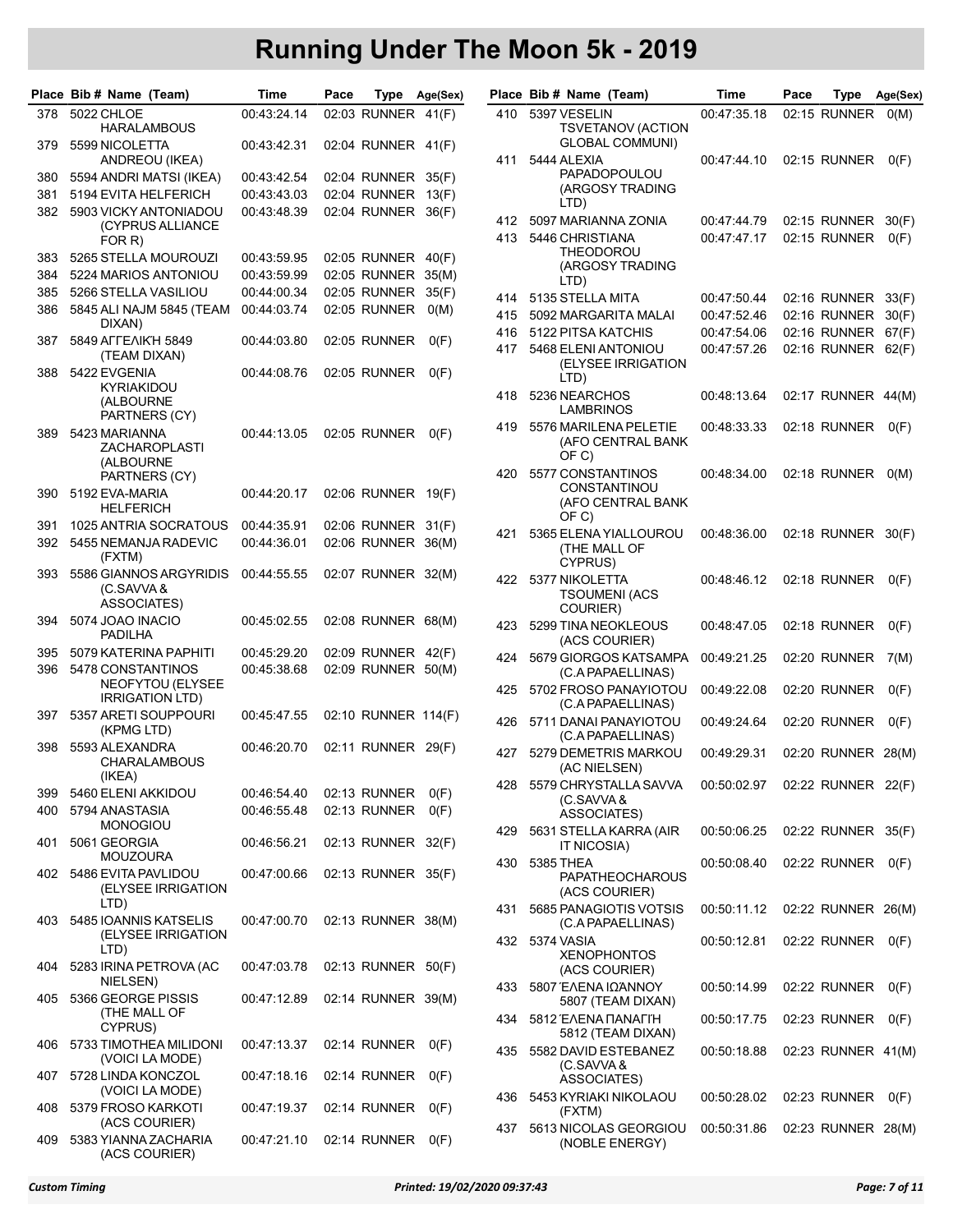|     | Place Bib # Name (Team)                   | Time        | Pace | Type                         | Age(Sex) |     | Place Bib # Name (Team)                     | Time        | Pace | Type               | Age(Sex) |
|-----|-------------------------------------------|-------------|------|------------------------------|----------|-----|---------------------------------------------|-------------|------|--------------------|----------|
| 378 | <b>5022 CHLOE</b><br><b>HARALAMBOUS</b>   | 00:43:24.14 |      | 02:03 RUNNER 41(F)           |          | 410 | 5397 VESELIN<br>TSVETANOV (ACTION           | 00:47:35.18 |      | 02:15 RUNNER       | O(M)     |
| 379 | 5599 NICOLETTA                            | 00:43:42.31 |      | 02:04 RUNNER 41(F)           |          | 411 | GLOBAL COMMUNI)<br>5444 ALEXIA              | 00:47:44.10 |      |                    |          |
| 380 | ANDREOU (IKEA)<br>5594 ANDRI MATSI (IKEA) | 00:43:42.54 |      | 02:04 RUNNER 35(F)           |          |     | PAPADOPOULOU                                |             |      | 02:15 RUNNER       | O(F)     |
| 381 | 5194 EVITA HELFERICH                      | 00:43:43.03 |      | 02:04 RUNNER 13(F)           |          |     | (ARGOSY TRADING                             |             |      |                    |          |
| 382 | 5903 VICKY ANTONIADOU                     | 00:43:48.39 |      | 02:04 RUNNER 36(F)           |          |     | LTD)                                        |             |      |                    |          |
|     | (CYPRUS ALLIANCE                          |             |      |                              |          | 412 | 5097 MARIANNA ZONIA                         | 00:47:44.79 |      | 02:15 RUNNER       | 30(F)    |
|     | FOR R)                                    |             |      |                              |          | 413 | 5446 CHRISTIANA                             | 00:47:47.17 |      | 02:15 RUNNER       | O(F)     |
| 383 | 5265 STELLA MOUROUZI                      | 00:43:59.95 |      | 02:05 RUNNER 40(F)           |          |     | THEODOROU<br>(ARGOSY TRADING                |             |      |                    |          |
| 384 | 5224 MARIOS ANTONIOU                      | 00:43:59.99 |      | 02:05 RUNNER 35(M)           |          |     | LTD)                                        |             |      |                    |          |
| 385 | 5266 STELLA VASILIOU                      | 00:44:00.34 |      | 02:05 RUNNER                 | 35(F)    | 414 | 5135 STELLA MITA                            | 00:47:50.44 |      | 02:16 RUNNER       | 33(F)    |
| 386 | 5845 ALI NAJM 5845 (TEAM                  | 00:44:03.74 |      | 02:05 RUNNER                 | O(M)     | 415 | 5092 MARGARITA MALAI                        | 00:47:52.46 |      | 02:16 RUNNER       | 30(F)    |
|     | DIXAN)                                    |             |      |                              |          | 416 | 5122 PITSA KATCHIS                          | 00:47:54.06 |      | 02:16 RUNNER       | 67(F)    |
| 387 | 5849 AFFEAIK'H 5849                       | 00:44:03.80 |      | 02:05 RUNNER                 | O(F)     | 417 | 5468 ELENI ANTONIOU                         | 00:47:57.26 |      | 02:16 RUNNER 62(F) |          |
|     | (TEAM DIXAN)                              |             |      |                              |          |     | (ELYSEE IRRIGATION                          |             |      |                    |          |
| 388 | 5422 EVGENIA<br>KYRIAKIDOU                | 00:44:08.76 |      | 02:05 RUNNER                 | O(F)     |     | LTD)                                        |             |      |                    |          |
|     | (ALBOURNE                                 |             |      |                              |          | 418 | 5236 NEARCHOS<br>LAMBRINOS                  | 00:48:13.64 |      | 02:17 RUNNER 44(M) |          |
|     | PARTNERS (CY)                             |             |      | 02:05 RUNNER                 |          | 419 | 5576 MARILENA PELETIE                       | 00:48:33.33 |      | 02:18 RUNNER       | O(F)     |
| 389 | 5423 MARIANNA<br><b>ZACHAROPLASTI</b>     | 00:44:13.05 |      |                              | O(F)     |     | (AFO CENTRAL BANK                           |             |      |                    |          |
|     | (ALBOURNE                                 |             |      |                              |          |     | OF C)                                       |             |      |                    |          |
|     | PARTNERS (CY)                             |             |      |                              |          | 420 | 5577 CONSTANTINOS                           | 00:48:34.00 |      | 02:18 RUNNER       | O(M)     |
| 390 | 5192 EVA-MARIA                            | 00:44:20.17 |      | 02:06 RUNNER 19(F)           |          |     | CONSTANTINOU<br>(AFO CENTRAL BANK           |             |      |                    |          |
|     | <b>HELFERICH</b>                          |             |      |                              |          |     | OF C)                                       |             |      |                    |          |
| 391 | 1025 ANTRIA SOCRATOUS                     | 00:44:35.91 |      | 02:06 RUNNER 31(F)           |          | 421 | 5365 ELENA YIALLOUROU                       | 00:48:36.00 |      | 02:18 RUNNER 30(F) |          |
| 392 | 5455 NEMANJA RADEVIC<br>(FXTM)            | 00:44:36.01 |      | 02:06 RUNNER 36(M)           |          |     | (THE MALL OF<br>CYPRUS)                     |             |      |                    |          |
| 393 | 5586 GIANNOS ARGYRIDIS                    | 00:44:55.55 |      | 02:07 RUNNER 32(M)           |          | 422 | 5377 NIKOLETTA                              | 00:48:46.12 |      | 02:18 RUNNER       | O(F)     |
|     | (C.SAVVA &                                |             |      |                              |          |     | <b>TSOUMENI (ACS</b>                        |             |      |                    |          |
|     | ASSOCIATES)                               |             |      |                              |          |     | COURIER)                                    |             |      |                    |          |
| 394 | 5074 JOAO INACIO<br>PADILHA               | 00:45:02.55 |      | 02:08 RUNNER 68(M)           |          | 423 | 5299 TINA NEOKLEOUS                         | 00:48:47.05 |      | 02:18 RUNNER       | O(F)     |
| 395 | 5079 KATERINA PAPHITI                     | 00:45:29.20 |      | 02:09 RUNNER 42(F)           |          |     | (ACS COURIER)                               |             |      |                    |          |
| 396 | 5478 CONSTANTINOS                         | 00:45:38.68 |      | 02:09 RUNNER 50(M)           |          | 424 | 5679 GIORGOS KATSAMPA                       | 00:49:21.25 |      | 02:20 RUNNER       | 7(M)     |
|     | NEOFYTOU (ELYSEE                          |             |      |                              |          |     | (C.A PAPAELLINAS)                           |             |      |                    |          |
|     | <b>IRRIGATION LTD)</b>                    |             |      |                              |          | 425 | 5702 FROSO PANAYIOTOU<br>(C.A PAPAELLINAS)  | 00:49:22.08 |      | 02:20 RUNNER       | O(F)     |
| 397 | 5357 ARETI SOUPPOURI                      | 00:45:47.55 |      | 02:10 RUNNER 114(F)          |          | 426 | 5711 DANAI PANAYIOTOU                       | 00:49:24.64 |      | 02:20 RUNNER       | O(F)     |
|     | (KPMG LTD)                                |             |      |                              |          |     | (C.A PAPAELLINAS)                           |             |      |                    |          |
| 398 | 5593 ALEXANDRA                            | 00:46:20.70 |      | 02:11 RUNNER 29(F)           |          | 427 | 5279 DEMETRIS MARKOU                        | 00:49:29.31 |      | 02:20 RUNNER 28(M) |          |
|     | CHARALAMBOUS                              |             |      |                              |          |     | (AC NIELSEN)                                |             |      |                    |          |
|     | (IKEA)                                    |             |      |                              |          | 428 | 5579 CHRYSTALLA SAVVA                       | 00:50:02.97 |      | 02:22 RUNNER 22(F) |          |
| 399 | 5460 ELENI AKKIDOU                        | 00:46:54.40 |      | 02:13 RUNNER<br>02:13 RUNNER | O(F)     |     | (C.SAVVA &                                  |             |      |                    |          |
| 400 | 5794 ANASTASIA<br><b>MONOGIOU</b>         | 00:46:55.48 |      |                              | O(F)     |     | ASSOCIATES)                                 |             |      |                    |          |
| 401 | 5061 GEORGIA                              | 00:46:56.21 |      | 02:13 RUNNER 32(F)           |          | 429 | 5631 STELLA KARRA (AIR                      | 00:50:06.25 |      | 02:22 RUNNER 35(F) |          |
|     | <b>MOUZOURA</b>                           |             |      |                              |          | 430 | IT NICOSIA)<br>5385 THEA                    | 00:50:08.40 |      |                    |          |
| 402 | 5486 EVITA PAVLIDOU                       | 00:47:00.66 |      | 02:13 RUNNER 35(F)           |          |     | <b>PAPATHEOCHAROUS</b>                      |             |      | 02:22 RUNNER       | O(F)     |
|     | (ELYSEE IRRIGATION                        |             |      |                              |          |     | (ACS COURIER)                               |             |      |                    |          |
|     | LTD)                                      |             |      |                              |          | 431 | 5685 PANAGIOTIS VOTSIS                      | 00:50:11.12 |      | 02:22 RUNNER 26(M) |          |
| 403 | 5485 IOANNIS KATSELIS                     | 00:47:00.70 |      | 02:13 RUNNER 38(M)           |          |     | (C.A PAPAELLINAS)                           |             |      |                    |          |
|     | (ELYSEE IRRIGATION<br>LTD)                |             |      |                              |          |     | 432 5374 VASIA                              | 00:50:12.81 |      | 02:22 RUNNER 0(F)  |          |
| 404 | 5283 IRINA PETROVA (AC                    | 00:47:03.78 |      | 02:13 RUNNER 50(F)           |          |     | <b>XENOPHONTOS</b>                          |             |      |                    |          |
|     | NIELSEN)                                  |             |      |                              |          |     | (ACS COURIER)                               |             |      |                    |          |
| 405 | 5366 GEORGE PISSIS                        | 00:47:12.89 |      | 02:14 RUNNER 39(M)           |          |     | 433 5807 ΈΛΕΝΑ ΙΩΆΝΝΟΥ<br>5807 (TEAM DIXAN) | 00:50:14.99 |      | 02:22 RUNNER       | O(F)     |
|     | (THE MALL OF                              |             |      |                              |          |     | 434 5812 ENENA NANAFIH                      | 00:50:17.75 |      | 02:23 RUNNER       |          |
|     | CYPRUS)                                   |             |      |                              |          |     | 5812 (TEAM DIXAN)                           |             |      |                    | O(F)     |
|     | 406 5733 TIMOTHEA MILIDONI                | 00:47:13.37 |      | 02:14 RUNNER 0(F)            |          | 435 | 5582 DAVID ESTEBANEZ                        | 00:50:18.88 |      | 02:23 RUNNER 41(M) |          |
|     | (VOICI LA MODE)                           |             |      |                              |          |     | (C.SAVVA &                                  |             |      |                    |          |
| 407 | 5728 LINDA KONCZOL                        | 00:47:18.16 |      | 02:14 RUNNER                 | O(F)     |     | ASSOCIATES)                                 |             |      |                    |          |
|     | (VOICI LA MODE)                           |             |      |                              |          | 436 | 5453 KYRIAKI NIKOLAOU                       | 00:50:28.02 |      | 02:23 RUNNER       | O(F)     |
| 408 | 5379 FROSO KARKOTI<br>(ACS COURIER)       | 00:47:19.37 |      | 02:14 RUNNER                 | O(F)     |     | (FXTM)                                      |             |      |                    |          |
| 409 | 5383 YIANNA ZACHARIA                      | 00:47:21.10 |      | 02:14 RUNNER 0(F)            |          | 437 | 5613 NICOLAS GEORGIOU                       | 00:50:31.86 |      | 02:23 RUNNER 28(M) |          |
|     | (ACS COURIER)                             |             |      |                              |          |     | (NOBLE ENERGY)                              |             |      |                    |          |

|     | Place Bib # Name (Team)                                            | Time        | Pace | Type               | Age(Sex) |
|-----|--------------------------------------------------------------------|-------------|------|--------------------|----------|
| 410 | 5397 VESELIN<br><b>TSVETANOV (ACTION</b><br><b>GLOBAL COMMUNI)</b> | 00:47:35.18 |      | 02:15 RUNNER       | O(M)     |
| 411 | 5444 ALEXIA<br><b>PAPADOPOULOU</b><br>(ARGOSY TRADING<br>LTD)      | 00:47:44.10 |      | 02:15 RUNNER       | O(F)     |
| 412 | 5097 MARIANNA ZONIA                                                | 00:47:44.79 |      | 02:15 RUNNER       | 30(F)    |
| 413 | 5446 CHRISTIANA<br>THEODOROU<br>(ARGOSY TRADING<br>LTD)            | 00:47:47.17 |      | 02:15 RUNNER       | O(F)     |
| 414 | 5135 STELLA MITA                                                   | 00:47:50.44 |      | 02:16 RUNNER       | 33(F)    |
| 415 | 5092 MARGARITA MALAI                                               | 00:47:52.46 |      | 02:16 RUNNER       | 30(F)    |
| 416 | 5122 PITSA KATCHIS                                                 | 00:47:54.06 |      | 02:16 RUNNER       | 67(F)    |
| 417 | 5468 ELENI ANTONIOU<br>(ELYSEE IRRIGATION<br>LTD)                  | 00:47:57.26 |      | 02:16 RUNNER       | 62(F)    |
| 418 | 5236 NEARCHOS<br>LAMBRINOS                                         | 00:48:13.64 |      | 02:17 RUNNER       | 44(M)    |
| 419 | 5576 MARILENA PELETIE<br>(AFO CENTRAL BANK<br>OF C)                | 00:48:33.33 |      | 02:18 RUNNER       | O(F)     |
| 420 | 5577 CONSTANTINOS<br>CONSTANTINOU<br>(AFO CENTRAL BANK<br>OF C)    | 00:48:34.00 |      | 02:18 RUNNER       | O(M)     |
| 421 | 5365 ELENA YIALLOUROU<br>(THE MALL OF<br>CYPRUS)                   | 00:48:36.00 |      | 02:18 RUNNER       | 30(F)    |
| 422 | 5377 NIKOLETTA<br><b>TSOUMENI (ACS</b><br>COURIER)                 | 00:48:46.12 |      | 02:18 RUNNER       | O(F)     |
| 423 | 5299 TINA NEOKLEOUS<br>(ACS COURIER)                               | 00:48:47.05 |      | 02:18 RUNNER       | O(F)     |
| 424 | 5679 GIORGOS KATSAMPA<br>(C.A PAPAELLINAS)                         | 00:49:21.25 |      | 02:20 RUNNER       | 7(M)     |
| 425 | 5702 FROSO PANAYIOTOU<br>(C.A PAPAELLINAS)                         | 00:49:22.08 |      | 02:20 RUNNER       | O(F)     |
| 426 | 5711 DANAI PANAYIOTOU<br>(C.A PAPAELLINAS)                         | 00:49:24.64 |      | 02:20 RUNNER       | O(F)     |
| 427 | 5279 DEMETRIS MARKOU<br>(AC NIELSEN)                               | 00:49:29.31 |      | 02:20 RUNNER       | 28(M)    |
| 428 | 5579 CHRYSTALLA SAVVA<br>(C.SAVVA &<br>ASSOCIATES)                 | 00:50:02.97 |      | 02:22 RUNNER 22(F) |          |
| 429 | 5631 STELLA KARRA (AIR<br>IT NICOSIA)                              | 00:50:06.25 |      | 02:22 RUNNER       | 35(F)    |
| 430 | 5385 THEA<br><b>PAPATHEOCHAROUS</b><br>(ACS COURIER)               | 00:50:08.40 |      | 02:22 RUNNER       | O(F)     |
| 431 | 5685 PANAGIOTIS VOTSIS<br>(C.A PAPAELLINAS)                        | 00:50:11.12 |      | 02:22 RUNNER       | 26(M)    |
| 432 | 5374 VASIA<br><b>XENOPHONTOS</b><br>(ACS COURIER)                  | 00:50:12.81 |      | 02:22 RUNNER       | O(F)     |
| 433 | 5807 ΈΛΕΝΑ ΙΩΆΝΝΟΥ<br>5807 (TEAM DIXAN)                            | 00:50:14.99 |      | 02:22 RUNNER       | O(F)     |
| 434 | 5812 EAENA ΠΑΝΑΓΙΉ<br>5812 (TEAM DIXAN)                            | 00:50:17.75 |      | 02:23 RUNNER       | O(F)     |
| 435 | 5582 DAVID ESTEBANEZ<br>(C.SAVVA &<br>ASSOCIATES)                  | 00:50:18.88 |      | 02:23 RUNNER 41(M) |          |
| 436 | 5453 KYRIAKI NIKOLAOU<br>(FXTM)                                    | 00:50:28.02 |      | 02:23 RUNNER       | O(F)     |
| 437 | 5613 NICOLAS GEORGIOU<br>(NOBLE ENERGY)                            | 00:50:31.86 |      | 02:23 RUNNER       | 28(M)    |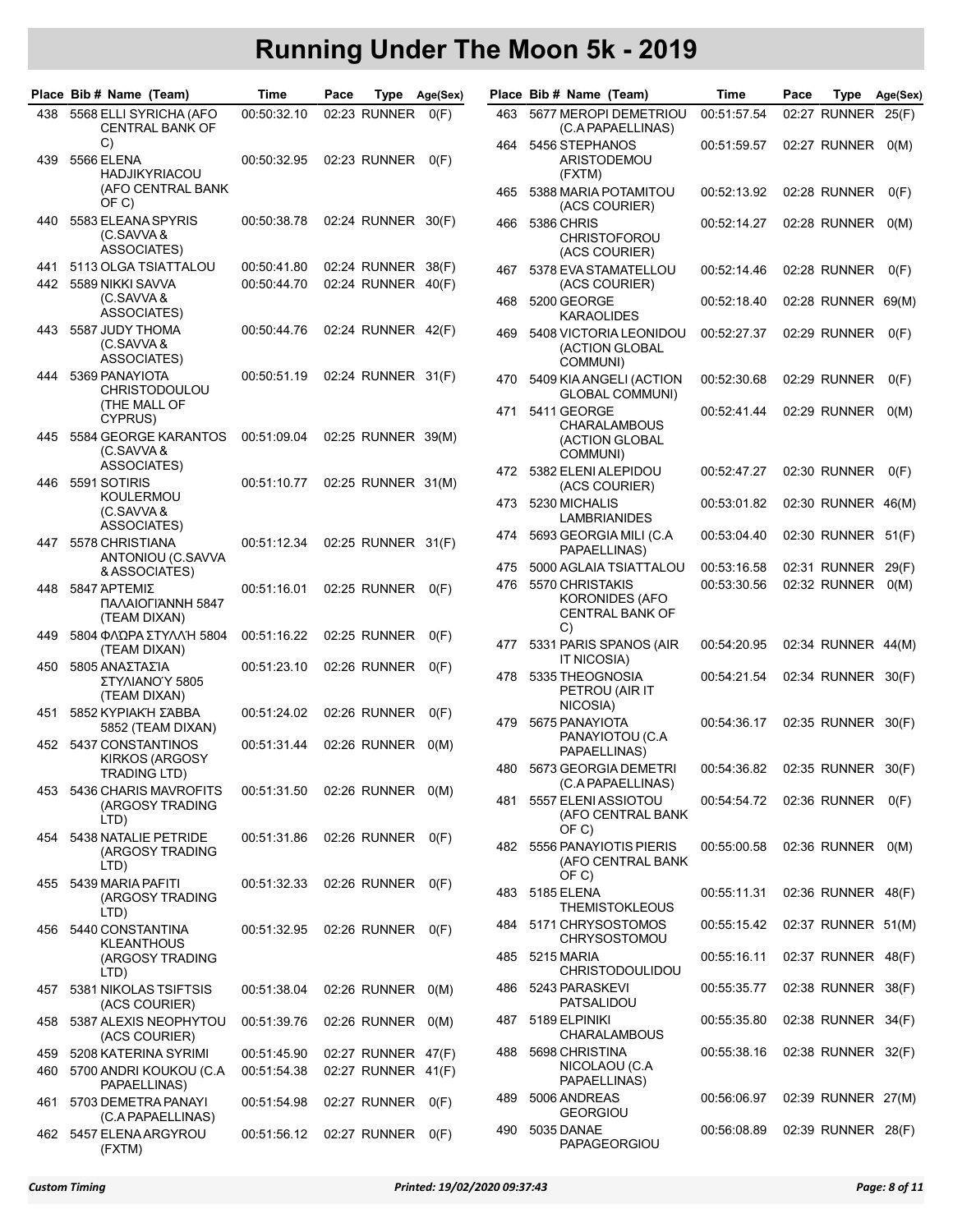|            | Place Bib # Name (Team)                                       | Time                       | Pace |                                          | Type Age(Sex) |            | Place Bib # Name (Team)                                          | Time                       | Pace | Type                         | Age(Sex) |
|------------|---------------------------------------------------------------|----------------------------|------|------------------------------------------|---------------|------------|------------------------------------------------------------------|----------------------------|------|------------------------------|----------|
| 438        | 5568 ELLI SYRICHA (AFO<br><b>CENTRAL BANK OF</b>              | 00:50:32.10                |      | 02:23 RUNNER                             | O(F)          | 463        | 5677 MEROPI DEMETRIOU<br>(C.A PAPAELLINAS)                       | 00:51:57.54                |      | 02:27 RUNNER 25(F)           |          |
| 439        | C)<br><b>5566 ELENA</b><br><b>HADJIKYRIACOU</b>               | 00:50:32.95                |      | 02:23 RUNNER                             | O(F)          | 464        | 5456 STEPHANOS<br>ARISTODEMOU<br>(FXTM)                          | 00:51:59.57                |      | 02:27 RUNNER                 | O(M)     |
|            | (AFO CENTRAL BANK<br>OF C)                                    |                            |      |                                          |               | 465        | 5388 MARIA POTAMITOU<br>(ACS COURIER)                            | 00:52:13.92                |      | 02:28 RUNNER                 | O(F)     |
| 440        | 5583 ELEANA SPYRIS<br>(C.SAVVA &<br>ASSOCIATES)               | 00:50:38.78                |      | 02:24 RUNNER 30(F)                       |               | 466        | 5386 CHRIS<br><b>CHRISTOFOROU</b><br>(ACS COURIER)               | 00:52:14.27                |      | 02:28 RUNNER                 | O(M)     |
| 441        | 5113 OLGA TSIATTALOU                                          | 00:50:41.80                |      | 02:24 RUNNER 38(F)                       |               | 467        | 5378 EVA STAMATELLOU                                             | 00:52:14.46                |      | 02:28 RUNNER                 | O(F)     |
| 442        | 5589 NIKKI SAVVA<br>(C.SAVVA &<br><b>ASSOCIATES)</b>          | 00:50:44.70                |      | 02:24 RUNNER 40(F)                       |               | 468        | (ACS COURIER)<br>5200 GEORGE<br>KARAOLIDES                       | 00:52:18.40                |      | 02:28 RUNNER 69(M)           |          |
| 443        | 5587 JUDY THOMA<br>(C.SAVVA &<br>ASSOCIATES)                  | 00:50:44.76                |      | 02:24 RUNNER 42(F)                       |               | 469        | 5408 VICTORIA LEONIDOU<br>(ACTION GLOBAL<br>COMMUNI)             | 00:52:27.37                |      | 02:29 RUNNER                 | O(F)     |
| 444        | 5369 PANAYIOTA<br><b>CHRISTODOULOU</b>                        | 00:50:51.19                |      | 02:24 RUNNER 31(F)                       |               | 470        | 5409 KIA ANGELI (ACTION<br>GLOBAL COMMUNI)                       | 00:52:30.68                |      | 02:29 RUNNER                 | O(F)     |
| 445        | (THE MALL OF<br>CYPRUS)<br>5584 GEORGE KARANTOS<br>(C.SAVVA & | 00:51:09.04                |      | 02:25 RUNNER 39(M)                       |               | 471        | 5411 GEORGE<br><b>CHARALAMBOUS</b><br>(ACTION GLOBAL<br>COMMUNI) | 00:52:41.44                |      | 02:29 RUNNER                 | O(M)     |
| 446        | ASSOCIATES)<br>5591 SOTIRIS                                   | 00:51:10.77                |      | 02:25 RUNNER 31(M)                       |               |            | 472 5382 ELENI ALEPIDOU<br>(ACS COURIER)                         | 00:52:47.27                |      | 02:30 RUNNER                 | O(F)     |
|            | KOULERMOU<br>(C.SAVVA&<br>ASSOCIATES)                         |                            |      |                                          |               | 473        | 5230 MICHALIS<br>LAMBRIANIDES                                    | 00:53:01.82                |      | 02:30 RUNNER 46(M)           |          |
| 447        | 5578 CHRISTIANA<br>ANTONIOU (C.SAVVA                          | 00:51:12.34                |      | 02:25 RUNNER 31(F)                       |               | 474        | 5693 GEORGIA MILI (C.A<br>PAPAELLINAS)                           | 00:53:04.40                |      | 02:30 RUNNER 51(F)           |          |
|            | & ASSOCIATES)                                                 |                            |      |                                          |               | 475<br>476 | 5000 AGLAIA TSIATTALOU<br>5570 CHRISTAKIS                        | 00:53:16.58<br>00:53:30.56 |      | 02:31 RUNNER<br>02:32 RUNNER | 29(F)    |
| 448        | 5847 APTEMIZ<br><b>ΠΑΛΑΙΟΓΙΆΝΝΗ 5847</b><br>(TEAM DIXAN)      | 00:51:16.01                |      | 02:25 RUNNER                             | O(F)          |            | KORONIDES (AFO<br><b>CENTRAL BANK OF</b><br>C)                   |                            |      |                              | O(M)     |
| 449        | 5804 ΦΛΏΡΑ ΣΤΥΛΛΉ 5804<br>(TEAM DIXAN)                        | 00:51:16.22                |      | 02:25 RUNNER                             | O(F)          | 477        | 5331 PARIS SPANOS (AIR<br>IT NICOSIA)                            | 00:54:20.95                |      | 02:34 RUNNER 44(M)           |          |
| 450        | 5805 ΑΝΑΣΤΑΣΊΑ<br>ΣΤΥΛΙΑΝΟΎ 5805<br>(TEAM DIXAN)              | 00:51:23.10                |      | 02:26 RUNNER                             | O(F)          | 478        | 5335 THEOGNOSIA<br>PETROU (AIR IT                                | 00:54:21.54                |      | 02:34 RUNNER 30(F)           |          |
| 451        | 5852 KYPIAKH ΣΆΒΒΑ<br>5852 (TEAM DIXAN)                       | 00:51:24.02                |      | 02:26 RUNNER                             | O(F)          | 479        | NICOSIA)<br>5675 PANAYIOTA                                       | 00:54:36.17                |      | 02:35 RUNNER 30(F)           |          |
| 452        | 5437 CONSTANTINOS<br><b>KIRKOS (ARGOSY</b>                    | 00:51:31.44                |      | 02:26 RUNNER                             | O(M)          | 480        | PANAYIOTOU (C.A<br>PAPAELLINAS)<br>5673 GEORGIA DEMETRI          | 00:54:36.82                |      | 02:35 RUNNER 30(F)           |          |
| 453        | TRADING LTD)<br>5436 CHARIS MAVROFITS                         | 00:51:31.50                |      | 02:26 RUNNER 0(M)                        |               | 481        | (C.A PAPAELLINAS)<br>5557 ELENI ASSIOTOU                         | 00:54:54.72                |      | 02:36 RUNNER                 |          |
|            | (ARGOSY TRADING<br>LTD)                                       |                            |      |                                          |               |            | (AFO CENTRAL BANK<br>OF C)                                       |                            |      |                              | O(F)     |
| 454        | 5438 NATALIE PETRIDE<br>(ARGOSY TRADING<br>LTD)               | 00:51:31.86                |      | 02:26 RUNNER                             | O(F)          | 482        | 5556 PANAYIOTIS PIERIS<br>(AFO CENTRAL BANK<br>OF C)             | 00:55:00.58                |      | 02:36 RUNNER 0(M)            |          |
| 455        | 5439 MARIA PAFITI<br>(ARGOSY TRADING<br>LTD)                  | 00:51:32.33                |      | 02:26 RUNNER 0(F)                        |               | 483        | 5185 ELENA<br><b>THEMISTOKLEOUS</b>                              | 00:55:11.31                |      | 02:36 RUNNER 48(F)           |          |
| 456        | 5440 CONSTANTINA<br>KLEANTHOUS                                | 00:51:32.95                |      | 02:26 RUNNER 0(F)                        |               | 484        | 5171 CHRYSOSTOMOS<br><b>CHRYSOSTOMOU</b>                         | 00:55:15.42                |      | 02:37 RUNNER 51(M)           |          |
|            | (ARGOSY TRADING<br>LTD)                                       |                            |      |                                          |               | 485        | 5215 MARIA<br><b>CHRISTODOULIDOU</b>                             | 00:55:16.11                |      | 02:37 RUNNER 48(F)           |          |
| 457        | 5381 NIKOLAS TSIFTSIS<br>(ACS COURIER)                        | 00:51:38.04                |      | 02:26 RUNNER 0(M)                        |               | 486        | 5243 PARASKEVI<br>PATSALIDOU                                     | 00:55:35.77                |      | 02:38 RUNNER 38(F)           |          |
| 458        | 5387 ALEXIS NEOPHYTOU<br>(ACS COURIER)                        | 00:51:39.76                |      | 02:26 RUNNER 0(M)                        |               | 487        | 5189 ELPINIKI<br><b>CHARALAMBOUS</b>                             | 00:55:35.80                |      | 02:38 RUNNER 34(F)           |          |
| 459<br>460 | 5208 KATERINA SYRIMI<br>5700 ANDRI KOUKOU (C.A.               | 00:51:45.90<br>00:51:54.38 |      | 02:27 RUNNER 47(F)<br>02:27 RUNNER 41(F) |               | 488        | 5698 CHRISTINA<br>NICOLAOU (C.A                                  | 00:55:38.16                |      | 02:38 RUNNER 32(F)           |          |
| 461        | PAPAELLINAS)<br>5703 DEMETRA PANAYI                           | 00:51:54.98                |      | 02:27 RUNNER 0(F)                        |               | 489        | PAPAELLINAS)<br>5006 ANDREAS                                     | 00:56:06.97                |      | 02:39 RUNNER 27(M)           |          |
| 462        | (C.A PAPAELLINAS)<br>5457 ELENA ARGYROU<br>(FXTM)             | 00:51:56.12                |      | 02:27 RUNNER 0(F)                        |               | 490        | <b>GEORGIOU</b><br>5035 DANAE<br>PAPAGEORGIOU                    | 00:56:08.89                |      | 02:39 RUNNER 28(F)           |          |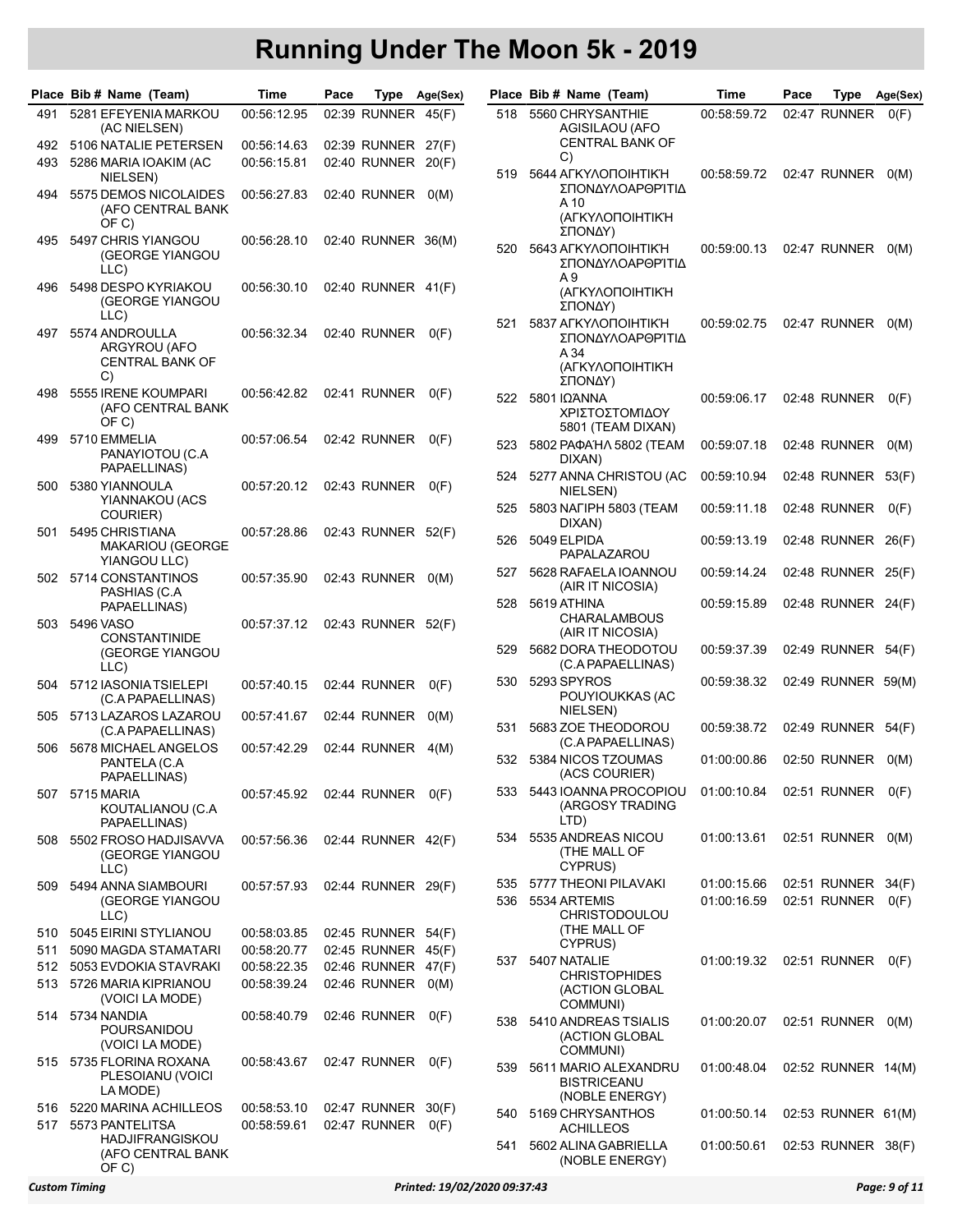|     | Place Bib # Name (Team)                                                 | Time        | Pace | Type               | Age(Sex) |      | Place Bib # Name (Team)                                                        | Time        | Pace | Type               | Age(Sex) |
|-----|-------------------------------------------------------------------------|-------------|------|--------------------|----------|------|--------------------------------------------------------------------------------|-------------|------|--------------------|----------|
| 491 | 5281 EFEYENIA MARKOU<br>(AC NIELSEN)                                    | 00:56:12.95 |      | 02:39 RUNNER 45(F) |          | 518  | 5560 CHRYSANTHIE<br>AGISILAOU (AFO                                             | 00:58:59.72 |      | 02:47 RUNNER       | O(F)     |
| 492 | 5106 NATALIE PETERSEN                                                   | 00:56:14.63 |      | 02:39 RUNNER 27(F) |          |      | <b>CENTRAL BANK OF</b>                                                         |             |      |                    |          |
| 493 | 5286 MARIA IOAKIM (AC                                                   | 00:56:15.81 |      | 02:40 RUNNER 20(F) |          |      | C)                                                                             |             |      |                    |          |
|     | NIELSEN)                                                                |             |      |                    |          | 519  | 5644 AFKYAONOIHTIK'H<br>ΣΠΟΝΔΥΛΟΑΡΘΡΊΤΙΔ                                       | 00:58:59.72 |      | 02:47 RUNNER       | O(M)     |
| 494 | 5575 DEMOS NICOLAIDES<br>(AFO CENTRAL BANK<br>OF C)                     | 00:56:27.83 |      | 02:40 RUNNER       | O(M)     |      | A 10<br>(ΑΓΚΥΛΟΠΟΙΗΤΙΚΉ                                                        |             |      |                    |          |
| 495 | 5497 CHRIS YIANGOU<br>(GEORGE YIANGOU<br>LLC)                           | 00:56:28.10 |      | 02:40 RUNNER 36(M) |          | 520  | ΣΠΟΝΔΥ)<br>5643 AFKYAONOIHTIK'H<br>ΣΠΟΝΔΥΛΟΑΡΘΡΊΤΙΔ                            | 00:59:00.13 |      | 02:47 RUNNER       | O(M)     |
| 496 | 5498 DESPO KYRIAKOU<br>(GEORGE YIANGOU<br>LLC)                          | 00:56:30.10 |      | 02:40 RUNNER 41(F) |          |      | A 9<br>(ΑΓΚΥΛΟΠΟΙΗΤΙΚΉ<br>ΣΠΟΝΔΥ)                                              |             |      |                    |          |
| 497 | 5574 ANDROULLA<br>ARGYROU (AFO<br><b>CENTRAL BANK OF</b><br>C)          | 00:56:32.34 |      | 02:40 RUNNER       | O(F)     | 521  | 5837 AFKYAONOIHTIK'H<br>ΣΠΟΝΔΥΛΟΑΡΘΡΊΤΙΔ<br>A 34<br>(ΑΓΚΥΛΟΠΟΙΗΤΙΚΉ<br>ΣΠΟΝΔΥ) | 00:59:02.75 |      | 02:47 RUNNER       | O(M)     |
| 498 | 5555 IRENE KOUMPARI<br>(AFO CENTRAL BANK<br>OF C)                       | 00:56:42.82 |      | 02:41 RUNNER       | O(F)     | 522  | 5801 ΙΩΆΝΝΑ<br>ΧΡΙΣΤΟΣΤΟΜΊΔΟΥ<br>5801 (TEAM DIXAN)                             | 00:59:06.17 |      | 02:48 RUNNER       | O(F)     |
| 499 | 5710 EMMELIA<br>PANAYIOTOU (C.A.                                        | 00:57:06.54 |      | 02:42 RUNNER       | O(F)     | 523  | 5802 PAΦAΉΛ 5802 (TEAM<br>DIXAN)                                               | 00:59:07.18 |      | 02:48 RUNNER       | O(M)     |
| 500 | PAPAELLINAS)<br>5380 YIANNOULA                                          | 00:57:20.12 |      | 02:43 RUNNER       | O(F)     | 524  | 5277 ANNA CHRISTOU (AC<br>NIELSEN)                                             | 00:59:10.94 |      | 02:48 RUNNER 53(F) |          |
|     | YIANNAKOU (ACS<br>COURIER)                                              |             |      |                    |          | 525  | 5803 NAFIPH 5803 (TEAM<br>DIXAN)                                               | 00:59:11.18 |      | 02:48 RUNNER       | O(F)     |
| 501 | 5495 CHRISTIANA<br><b>MAKARIOU (GEORGE</b><br>YIANGOU LLC)              | 00:57:28.86 |      | 02:43 RUNNER 52(F) |          | 526  | 5049 ELPIDA<br>PAPALAZAROU                                                     | 00:59:13.19 |      | 02:48 RUNNER 26(F) |          |
| 502 | 5714 CONSTANTINOS<br>PASHIAS (C.A                                       | 00:57:35.90 |      | 02:43 RUNNER       | O(M)     | 527  | 5628 RAFAELA IOANNOU<br>(AIR IT NICOSIA)                                       | 00:59:14.24 |      | 02:48 RUNNER 25(F) |          |
| 503 | PAPAELLINAS)<br>5496 VASO                                               | 00:57:37.12 |      | 02:43 RUNNER 52(F) |          | 528  | 5619 ATHINA<br><b>CHARALAMBOUS</b>                                             | 00:59:15.89 |      | 02:48 RUNNER 24(F) |          |
|     | <b>CONSTANTINIDE</b><br>(GEORGE YIANGOU<br>LLC)                         |             |      |                    |          | 529  | (AIR IT NICOSIA)<br>5682 DORA THEODOTOU<br>(C.A PAPAELLINAS)                   | 00:59:37.39 |      | 02:49 RUNNER 54(F) |          |
| 504 | 5712 IASONIATSIELEPI<br>(C.A PAPAELLINAS)                               | 00:57:40.15 |      | 02:44 RUNNER       | O(F)     | 530  | 5293 SPYROS<br>POUYIOUKKAS (AC                                                 | 00:59:38.32 |      | 02:49 RUNNER 59(M) |          |
| 505 | 5713 LAZAROS LAZAROU<br>(C.A PAPAELLINAS)                               | 00:57:41.67 |      | 02:44 RUNNER       | O(M)     | 531  | NIELSEN)<br>5683 ZOE THEODOROU                                                 | 00:59:38.72 |      | 02:49 RUNNER       | 54(F)    |
| 506 | 5678 MICHAEL ANGELOS<br>PANTELA (C.A<br>PAPAELLINAS)                    | 00:57:42.29 |      | 02:44 RUNNER       | 4(M)     |      | (C.A PAPAELLINAS)<br>532 5384 NICOS TZOUMAS<br>(ACS COURIER)                   | 01:00:00.86 |      | 02:50 RUNNER       | O(M)     |
| 507 | 5715 MARIA<br>KOUTALIANOU (C.A                                          | 00:57:45.92 |      | 02:44 RUNNER       | O(F)     | 533. | 5443 IOANNA PROCOPIOU<br>(ARGOSY TRADING<br>LTD)                               |             |      |                    | O(F)     |
| 508 | PAPAELLINAS)<br>5502 FROSO HADJISAVVA<br>(GEORGE YIANGOU                | 00:57:56.36 |      | 02:44 RUNNER 42(F) |          | 534  | 5535 ANDREAS NICOU<br>(THE MALL OF<br>CYPRUS)                                  | 01:00:13.61 |      | 02:51 RUNNER 0(M)  |          |
|     | LLC)                                                                    |             |      |                    |          | 535  | 5777 THEONI PILAVAKI                                                           | 01:00:15.66 |      | 02:51 RUNNER 34(F) |          |
| 509 | 5494 ANNA SIAMBOURI<br>(GEORGE YIANGOU                                  | 00:57:57.93 |      | 02:44 RUNNER 29(F) |          | 536  | 5534 ARTEMIS                                                                   | 01:00:16.59 |      | 02:51 RUNNER       | O(F)     |
|     | LLC)                                                                    |             |      |                    |          |      | <b>CHRISTODOULOU</b><br>(THE MALL OF                                           |             |      |                    |          |
| 510 | 5045 EIRINI STYLIANOU                                                   | 00:58:03.85 |      | 02:45 RUNNER 54(F) |          |      | CYPRUS)                                                                        |             |      |                    |          |
| 511 | 5090 MAGDA STAMATARI                                                    | 00:58:20.77 |      | 02:45 RUNNER 45(F) |          | 537  | 5407 NATALIE                                                                   | 01:00:19.32 |      | 02:51 RUNNER       | O(F)     |
| 512 | 5053 EVDOKIA STAVRAKI                                                   | 00:58:22.35 |      | 02:46 RUNNER 47(F) |          |      | <b>CHRISTOPHIDES</b>                                                           |             |      |                    |          |
| 513 | 5726 MARIA KIPRIANOU<br>(VOICI LA MODE)                                 | 00:58:39.24 |      | 02:46 RUNNER       | O(M)     |      | (ACTION GLOBAL<br>COMMUNI)                                                     |             |      |                    |          |
| 514 | 5734 NANDIA<br>POURSANIDOU<br>(VOICI LA MODE)                           | 00:58:40.79 |      | 02:46 RUNNER       | O(F)     | 538  | 5410 ANDREAS TSIALIS<br>(ACTION GLOBAL<br>COMMUNI)                             | 01:00:20.07 |      | 02:51 RUNNER       | O(M)     |
| 515 | 5735 FLORINA ROXANA<br>PLESOIANU (VOICI<br>LA MODE)                     | 00:58:43.67 |      | 02:47 RUNNER       | O(F)     | 539  | 5611 MARIO ALEXANDRU<br><b>BISTRICEANU</b>                                     | 01:00:48.04 |      | 02:52 RUNNER 14(M) |          |
| 516 | 5220 MARINA ACHILLEOS                                                   | 00:58:53.10 |      | 02:47 RUNNER 30(F) |          | 540  | (NOBLE ENERGY)<br>5169 CHRYSANTHOS                                             | 01:00:50.14 |      | 02:53 RUNNER 61(M) |          |
| 517 | 5573 PANTELITSA<br><b>HADJIFRANGISKOU</b><br>(AFO CENTRAL BANK<br>OF C) | 00:58:59.61 |      | 02:47 RUNNER       | O(F)     | 541  | ACHILLEOS<br>5602 ALINA GABRIELLA<br>(NOBLE ENERGY)                            | 01:00:50.61 |      | 02:53 RUNNER 38(F) |          |

|     | lace Bib # Name (Team)                                                         | Time        | Pace | Type         | Age(Sex) |
|-----|--------------------------------------------------------------------------------|-------------|------|--------------|----------|
| 518 | 5560 CHRYSANTHIE<br>AGISILAOU (AFO<br><b>CENTRAL BANK OF</b><br>C)             | 00:58:59.72 |      | 02:47 RUNNER | O(F)     |
| 519 | 5644 ΑΓΚΥΛΟΠΟΙΗΤΙΚΉ<br>ΣΠΟΝΔΥΛΟΑΡΘΡΊΤΙΔ<br>A 10<br>(ΑΓΚΥΛΟΠΟΙΗΤΙΚΉ<br>ΣΠΟΝΔΥ)  | 00:58:59.72 |      | 02:47 RUNNER | O(M)     |
| 520 | 5643 ΑΓΚΥΛΟΠΟΙΗΤΙΚΉ<br>ΣΠΟΝΔΥΛΟΑΡΘΡΊΤΙΔ<br>A 9<br>(ΑΓΚΥΛΟΠΟΙΗΤΙΚΉ<br>ΣΠΟΝΔΥ)   | 00:59:00.13 |      | 02:47 RUNNER | O(M)     |
| 521 | 5837 AFKYAONOIHTIK'H<br>ΣΠΟΝΔΥΛΟΑΡΘΡΊΤΙΔ<br>A 34<br>(ΑΓΚΥΛΟΠΟΙΗΤΙΚΉ<br>ΣΠΟΝΔΥ) | 00:59:02.75 |      | 02:47 RUNNER | O(M)     |
| 522 | 5801 ΙΩΆΝΝΑ<br>ΧΡΙΣΤΟΣΤΟΜΊΔΟΥ<br>5801 (TEAM DIXAN)                             | 00:59:06.17 |      | 02:48 RUNNER | O(F)     |
| 523 | 5802 PAΦAΉΛ 5802 (TEAM<br>DIXAN)                                               | 00:59:07.18 |      | 02:48 RUNNER | O(M)     |
| 524 | 5277 ANNA CHRISTOU (AC<br>NIELSEN)                                             | 00:59:10.94 |      | 02:48 RUNNER | 53(F)    |
| 525 | 5803 NAFIPH 5803 (TEAM<br>DIXAN)                                               | 00:59:11.18 |      | 02:48 RUNNER | O(F)     |
| 526 | 5049 ELPIDA<br>PAPALAZAROU                                                     | 00:59:13.19 |      | 02:48 RUNNER | 26(F)    |
| 527 | 5628 RAFAELA IOANNOU<br>(AIR IT NICOSIA)                                       | 00:59:14.24 |      | 02:48 RUNNER | 25(F)    |
| 528 | 5619 ATHINA<br><b>CHARALAMBOUS</b><br>(AIR IT NICOSIA)                         | 00:59:15.89 |      | 02:48 RUNNER | 24(F)    |
| 529 | 5682 DORA THEODOTOU<br>(C.A PAPAELLINAS)                                       | 00:59:37.39 |      | 02:49 RUNNER | 54(F)    |
| 530 | 5293 SPYROS<br>POUYIOUKKAS (AC<br>NIELSEN)                                     | 00:59:38.32 |      | 02:49 RUNNER | 59(M)    |
| 531 | 5683 ZOE THEODOROU<br>(C.A PAPAELLINAS)                                        | 00:59:38.72 |      | 02:49 RUNNER | 54(F)    |
| 532 | 5384 NICOS TZOUMAS<br>(ACS COURIER)                                            | 01:00:00.86 |      | 02:50 RUNNER | O(M)     |
| 533 | 5443 IOANNA PROCOPIOU<br>(ARGOSY TRADING<br>LTD)                               | 01:00:10.84 |      | 02:51 RUNNER | O(F)     |
| 534 | 5535 ANDREAS NICOU<br>(THE MALL OF<br>CYPRUS)                                  | 01:00:13.61 |      | 02:51 RUNNER | O(M)     |
| 535 | 5777 THEONI PILAVAKI                                                           | 01:00:15.66 |      | 02:51 RUNNER | 34(F)    |
| 536 | 5534 ARTEMIS<br><b>CHRISTODOULOU</b><br>(THE MALL OF<br>CYPRUS)                | 01:00:16.59 |      | 02:51 RUNNER | O(F)     |
| 537 | 5407 NATALIE<br><b>CHRISTOPHIDES</b><br>(ACTION GLOBAL<br>COMMUNI)             | 01:00:19.32 |      | 02:51 RUNNER | O(F)     |
| 538 | 5410 ANDREAS TSIALIS<br>(ACTION GLOBAL<br>COMMUNI)                             | 01:00:20.07 |      | 02:51 RUNNER | O(M)     |
| 539 | 5611 MARIO ALEXANDRU<br><b>BISTRICEANU</b><br>(NOBLE ENERGY)                   | 01:00:48.04 |      | 02:52 RUNNER | 14(M)    |
| 540 | 5169 CHRYSANTHOS<br><b>ACHILLEOS</b>                                           | 01:00:50.14 |      | 02:53 RUNNER | 61(M)    |
| 541 | 5602 ALINA GABRIELLA<br>(NOBLE ENERGY)                                         | 01:00:50.61 |      | 02:53 RUNNER | 38(F)    |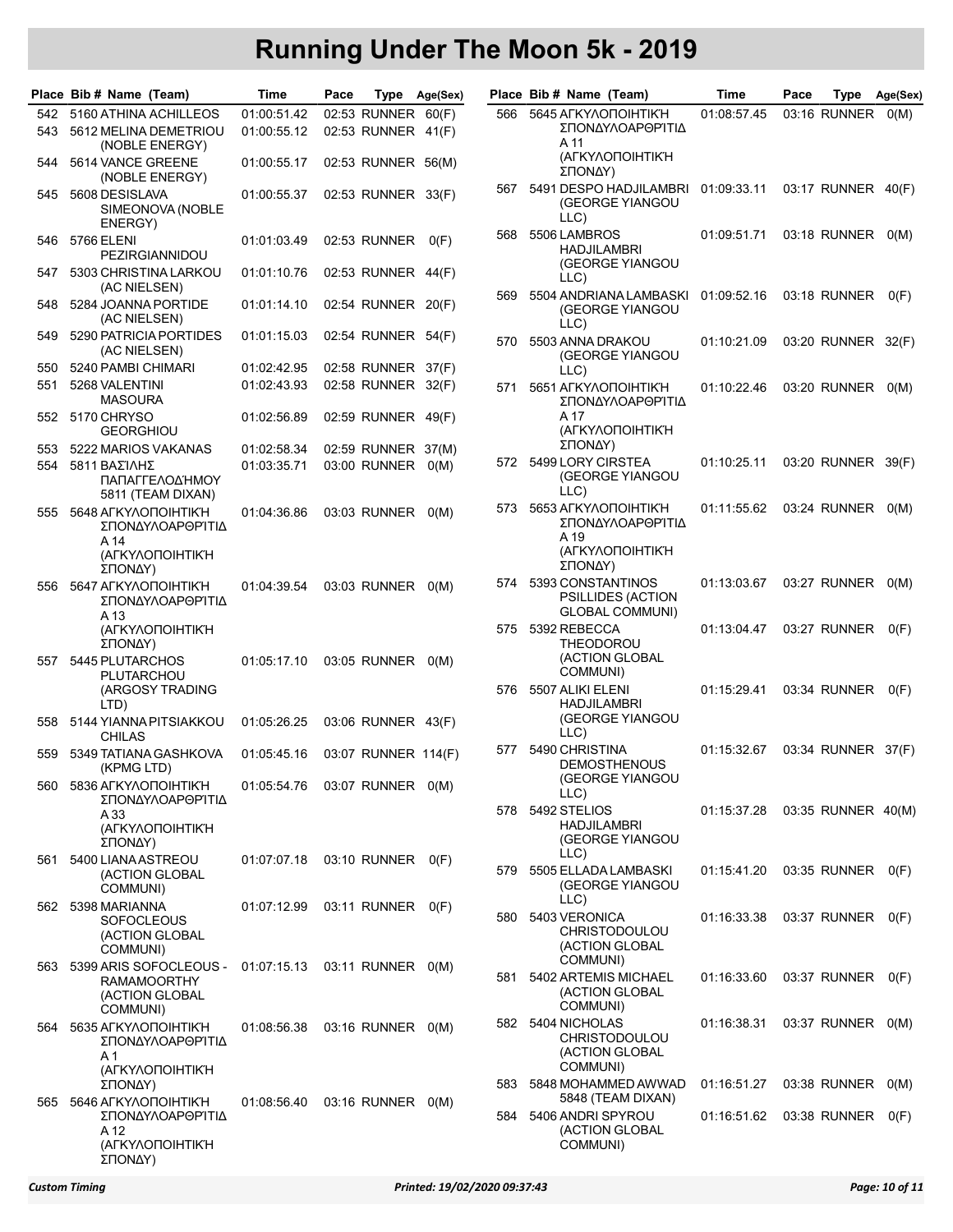|     | Place Bib # Name (Team)                                                                      | Time        | Pace |                     | Type Age(Sex) |     | Place Bib # Name (Team)                                          | Time        | Pace | Type               | Age(Sex) |
|-----|----------------------------------------------------------------------------------------------|-------------|------|---------------------|---------------|-----|------------------------------------------------------------------|-------------|------|--------------------|----------|
|     | 542 5160 ATHINA ACHILLEOS                                                                    | 01:00:51.42 |      | 02:53 RUNNER 60(F)  |               | 566 | 5645 AFKYAONOIHTIK'H                                             | 01:08:57.45 |      | 03:16 RUNNER       | O(M)     |
| 543 | 5612 MELINA DEMETRIOU<br>(NOBLE ENERGY)                                                      | 01:00:55.12 |      | 02:53 RUNNER 41(F)  |               |     | ΣΠΟΝΔΥΛΟΑΡΘΡΊΤΙΔ<br>A 11                                         |             |      |                    |          |
| 544 | 5614 VANCE GREENE<br>(NOBLE ENERGY)                                                          | 01:00:55.17 |      | 02:53 RUNNER 56(M)  |               |     | (ΑΓΚΥΛΟΠΟΙΗΤΙΚΉ<br>ΣΠΟΝΔΥ)                                       |             |      |                    |          |
| 545 | 5608 DESISLAVA<br>SIMEONOVA (NOBLE<br>ENERGY)                                                | 01:00:55.37 |      | 02:53 RUNNER 33(F)  |               | 567 | 5491 DESPO HADJILAMBRI<br>(GEORGE YIANGOU<br>LLC)                | 01:09:33.11 |      | 03:17 RUNNER 40(F) |          |
| 546 | <b>5766 ELENI</b><br>PEZIRGIANNIDOU                                                          | 01:01:03.49 |      | 02:53 RUNNER        | O(F)          | 568 | 5506 LAMBROS<br><b>HADJILAMBRI</b><br>(GEORGE YIANGOU            | 01:09:51.71 |      | 03:18 RUNNER 0(M)  |          |
| 547 | 5303 CHRISTINA LARKOU<br>(AC NIELSEN)                                                        | 01:01:10.76 |      | 02:53 RUNNER 44(F)  |               |     | LLC)                                                             |             |      |                    |          |
| 548 | 5284 JOANNA PORTIDE<br>(AC NIELSEN)                                                          | 01:01:14.10 |      | 02:54 RUNNER 20(F)  |               | 569 | 5504 ANDRIANA LAMBASKI<br>(GEORGE YIANGOU<br>LLC)                | 01:09:52.16 |      | 03:18 RUNNER       | O(F)     |
| 549 | 5290 PATRICIA PORTIDES<br>(AC NIELSEN)                                                       | 01:01:15.03 |      | 02:54 RUNNER 54(F)  |               | 570 | 5503 ANNA DRAKOU<br>(GEORGE YIANGOU                              | 01:10:21.09 |      | 03:20 RUNNER 32(F) |          |
| 550 | 5240 PAMBI CHIMARI                                                                           | 01:02:42.95 |      | 02:58 RUNNER 37(F)  |               |     | LLC)                                                             |             |      |                    |          |
| 551 | 5268 VALENTINI<br><b>MASOURA</b>                                                             | 01:02:43.93 |      | 02:58 RUNNER 32(F)  |               | 571 | 5651 AFKYAONOIHTIK'H<br>ΣΠΟΝΔΥΛΟΑΡΘΡΊΤΙΔ                         | 01:10:22.46 |      | 03:20 RUNNER 0(M)  |          |
| 552 | 5170 CHRYSO<br><b>GEORGHIOU</b>                                                              | 01:02:56.89 |      | 02:59 RUNNER 49(F)  |               |     | A 17<br>(ΑΓΚΥΛΟΠΟΙΗΤΙΚΉ                                          |             |      |                    |          |
| 553 | 5222 MARIOS VAKANAS                                                                          | 01:02:58.34 |      | 02:59 RUNNER 37(M)  |               |     | ΣΠΟΝΔΥ)                                                          |             |      |                    |          |
| 554 | 5811 ΒΑΣΊΛΗΣ<br>ΠΑΠΑΓΓΕΛΟΔΉΜΟΥ<br>5811 (TEAM DIXAN)                                          | 01:03:35.71 |      | 03:00 RUNNER 0(M)   |               | 572 | 5499 LORY CIRSTEA<br>(GEORGE YIANGOU<br>LLC)                     | 01:10:25.11 |      | 03:20 RUNNER 39(F) |          |
| 555 | 5648 AFKYAONOIHTIK'H<br>ΣΠΟΝΔΥΛΟΑΡΘΡΊΤΙΔ<br>A 14                                             | 01:04:36.86 |      | 03:03 RUNNER 0(M)   |               | 573 | 5653 AFKYAONOIHTIK'H<br>ΣΠΟΝΔΥΛΟΑΡΘΡΊΤΙΔ<br>A 19                 | 01:11:55.62 |      | 03:24 RUNNER       | O(M)     |
|     | (ΑΓΚΥΛΟΠΟΙΗΤΙΚΉ<br>ΣΠΟΝΔΥ)                                                                   |             |      |                     |               |     | (ΑΓΚΥΛΟΠΟΙΗΤΙΚΉ<br>ΣΠΟΝΔΥ)                                       |             |      |                    |          |
| 556 | 5647 AFKYAONOIHTIK'H<br>ΣΠΟΝΔΥΛΟΑΡΘΡΊΤΙΔ<br>A 13                                             | 01:04:39.54 |      | 03:03 RUNNER 0(M)   |               | 574 | 5393 CONSTANTINOS<br><b>PSILLIDES (ACTION</b><br>GLOBAL COMMUNI) | 01:13:03.67 |      | 03:27 RUNNER       | O(M)     |
| 557 | (ΑΓΚΥΛΟΠΟΙΗΤΙΚΉ<br>ΣΠΟΝΔΥ)<br>5445 PLUTARCHOS                                                | 01:05:17.10 |      | 03:05 RUNNER 0(M)   |               | 575 | 5392 REBECCA<br><b>THEODOROU</b><br>(ACTION GLOBAL               | 01:13:04:47 |      | 03:27 RUNNER       | O(F)     |
|     | PLUTARCHOU<br>(ARGOSY TRADING<br>LTD)                                                        |             |      |                     |               | 576 | COMMUNI)<br>5507 ALIKI ELENI<br><b>HADJILAMBRI</b>               | 01:15:29.41 |      | 03:34 RUNNER       | O(F)     |
| 558 | 5144 YIANNA PITSIAKKOU<br><b>CHILAS</b>                                                      | 01:05:26.25 |      | 03:06 RUNNER 43(F)  |               |     | (GEORGE YIANGOU<br>LLC)                                          |             |      |                    |          |
| 559 | 5349 TATIANA GASHKOVA<br>(KPMG LTD)                                                          | 01:05:45.16 |      | 03:07 RUNNER 114(F) |               | 577 | 5490 CHRISTINA<br><b>DEMOSTHENOUS</b><br>(GEORGE YIANGOU         | 01:15:32.67 |      | 03:34 RUNNER 37(F) |          |
| 560 | 5836 AFKYAONOIHTIK'H<br>ΣΠΟΝΔΥΛΟΑΡΘΡΊΤΙΔ                                                     | 01:05:54.76 |      | 03:07 RUNNER 0(M)   |               |     | LLC)                                                             |             |      |                    |          |
|     | A 33<br>(ΑΓΚΥΛΟΠΟΙΗΤΙΚΉ<br>ΣΠΟΝΔΥ)                                                           |             |      |                     |               | 578 | 5492 STELIOS<br>HADJILAMBRI<br>(GEORGE YIANGOU                   | 01:15:37.28 |      | 03:35 RUNNER 40(M) |          |
| 561 | 5400 LIANA ASTREOU<br>(ACTION GLOBAL<br>COMMUNI)                                             | 01:07:07.18 |      | 03:10 RUNNER 0(F)   |               | 579 | LLC)<br>5505 ELLADA LAMBASKI<br>(GEORGE YIANGOU                  | 01:15:41.20 |      | 03:35 RUNNER       | O(F)     |
| 562 | 5398 MARIANNA                                                                                | 01:07:12.99 |      | 03:11 RUNNER 0(F)   |               |     | LLC)                                                             |             |      |                    |          |
|     | <b>SOFOCLEOUS</b><br>(ACTION GLOBAL<br>COMMUNI)                                              |             |      |                     |               | 580 | 5403 VERONICA<br><b>CHRISTODOULOU</b><br>(ACTION GLOBAL          | 01:16:33.38 |      | 03:37 RUNNER       | O(F)     |
| 563 | 5399 ARIS SOFOCLEOUS - 01:07:15.13 03:11 RUNNER 0(M)<br><b>RAMAMOORTHY</b><br>(ACTION GLOBAL |             |      |                     |               | 581 | COMMUNI)<br>5402 ARTEMIS MICHAEL<br>(ACTION GLOBAL               | 01:16:33.60 |      | 03:37 RUNNER       | O(F)     |
| 564 | COMMUNI)<br>5635 AFKYAONOIHTIK'H<br>ΣΠΟΝΔΥΛΟΑΡΘΡΊΤΙΔ                                         | 01:08:56.38 |      | 03:16 RUNNER 0(M)   |               | 582 | COMMUNI)<br>5404 NICHOLAS<br><b>CHRISTODOULOU</b>                | 01:16:38.31 |      | 03:37 RUNNER 0(M)  |          |
|     | A 1<br>(ΑΓΚΥΛΟΠΟΙΗΤΙΚΉ                                                                       |             |      |                     |               |     | (ACTION GLOBAL<br>COMMUNI)                                       |             |      |                    |          |
| 565 | ΣΠΟΝΔΥ)<br>5646 AFKYAONOIHTIK'H                                                              | 01:08:56.40 |      | 03:16 RUNNER 0(M)   |               | 583 | 5848 MOHAMMED AWWAD<br>5848 (TEAM DIXAN)                         | 01:16:51.27 |      | 03:38 RUNNER 0(M)  |          |
|     | ΣΠΟΝΔΥΛΟΑΡΘΡΊΤΙΔ<br>A 12<br>(ΑΓΚΥΛΟΠΟΙΗΤΙΚΉ<br>ΣΠΟΝΔΥ)                                       |             |      |                     |               | 584 | 5406 ANDRI SPYROU<br>(ACTION GLOBAL<br>COMMUNI)                  | 01:16:51.62 |      | 03:38 RUNNER       | O(F)     |

|     | 'lace Bib# Name (Team)                                                      | Time        | Pace | Type               | Age(Sex) |
|-----|-----------------------------------------------------------------------------|-------------|------|--------------------|----------|
| 566 | 5645 AFKYAONOIHTIK'H<br>ΣΠΟΝΔΥΛΟΑΡΘΡΊΤΙΔ<br>A 11                            | 01:08:57.45 |      | 03:16 RUNNER       | O(M)     |
|     | (ΑΓΚΥΛΟΠΟΙΗΤΙΚΉ<br>ΣΠΟΝΔΥ)                                                  |             |      |                    |          |
| 567 | 5491 DESPO HADJILAMBRI<br>(GEORGE YIANGOU<br>LLC)                           | 01:09:33.11 |      | 03:17 RUNNER       | 40(F)    |
| 568 | 5506 LAMBROS<br><b>HADJILAMBRI</b><br>(GEORGE YIANGOU<br>LLC)               | 01:09:51.71 |      | 03:18 RUNNER       | O(M)     |
| 569 | 5504 ANDRIANA LAMBASKI<br>(GEORGE YIANGOU<br>LLC)                           | 01:09:52.16 |      | 03:18 RUNNER       | O(F)     |
| 570 | 5503 ANNA DRAKOU<br>(GEORGE YIANGOU<br>LLC)                                 | 01:10:21.09 |      | 03:20 RUNNER       | 32(F)    |
| 571 | 5651 AFKYAONOIHTIK'H<br>ΣΠΟΝΔΥΛΟΑΡΘΡΊΤΙΔ<br>A 17                            | 01:10:22.46 |      | 03:20 RUNNER       | O(M)     |
|     | (ΑΓΚΥΛΟΠΟΙΗΤΙΚΉ<br>ΣΠΟΝΔΥ)                                                  |             |      |                    |          |
| 572 | 5499 LORY CIRSTEA<br>(GEORGE YIANGOU<br>LLC)                                | 01:10:25.11 |      | 03:20 RUNNER       | 39(F)    |
| 573 | 5653 AΓKYΛOΠOIHTIKΉ<br>ΣΠΟΝΔΥΛΟΑΡΘΡΊΤΙΔ<br>A 19<br>(ΑΓΚΥΛΟΠΟΙΗΤΙΚΉ          | 01:11:55.62 |      | 03:24 RUNNER       | O(M)     |
| 574 | ΣΠΟΝΔΥ)<br>5393 CONSTANTINOS<br>PSILLIDES (ACTION<br><b>GLOBAL COMMUNI)</b> | 01:13:03.67 |      | 03:27 RUNNER       | O(M)     |
| 575 | 5392 REBECCA<br>THEODOROU<br>(ACTION GLOBAL<br>COMMUNI)                     | 01:13:04.47 |      | 03:27 RUNNER       | O(F)     |
| 576 | 5507 ALIKI ELENI<br><b>HADJILAMBRI</b><br>(GEORGE YIANGOU<br>LLC)           | 01:15:29.41 |      | 03:34 RUNNER       | O(F)     |
| 577 | 5490 CHRISTINA<br><b>DEMOSTHENOUS</b><br>(GEORGE YIANGOU<br>LLC)            | 01:15:32.67 |      | 03:34 RUNNER       | 37(F)    |
| 578 | 5492 STELIOS<br>HADJILAMBRI<br>(GEORGE YIANGOU<br>LLC)                      | 01:15:37.28 |      | 03:35 RUNNER 40(M) |          |
| 579 | 5505 ELLADA LAMBASKI<br>(GEORGE YIANGOU<br>LLC)                             | 01:15:41.20 |      | 03:35 RUNNER       | O(F)     |
| 580 | 5403 VERONICA<br><b>CHRISTODOULOU</b><br>(ACTION GLOBAL<br>COMMUNI)         | 01:16:33.38 |      | 03:37 RUNNER       | O(F)     |
| 581 | 5402 ARTEMIS MICHAEL<br>(ACTION GLOBAL<br>COMMUNI)                          | 01:16:33.60 |      | 03:37 RUNNER       | O(F)     |
| 582 | 5404 NICHOLAS<br><b>CHRISTODOULOU</b><br>(ACTION GLOBAL<br>COMMUNI)         | 01:16:38.31 |      | 03:37 RUNNER       | O(M)     |
| 583 | 5848 MOHAMMED AWWAD<br>5848 (TEAM DIXAN)                                    | 01:16:51.27 |      | 03:38 RUNNER       | O(M)     |
| 584 | 5406 ANDRI SPYROU<br>(ACTION GLOBAL<br>COMMUNI)                             | 01:16:51.62 |      | 03:38 RUNNER       | O(F)     |